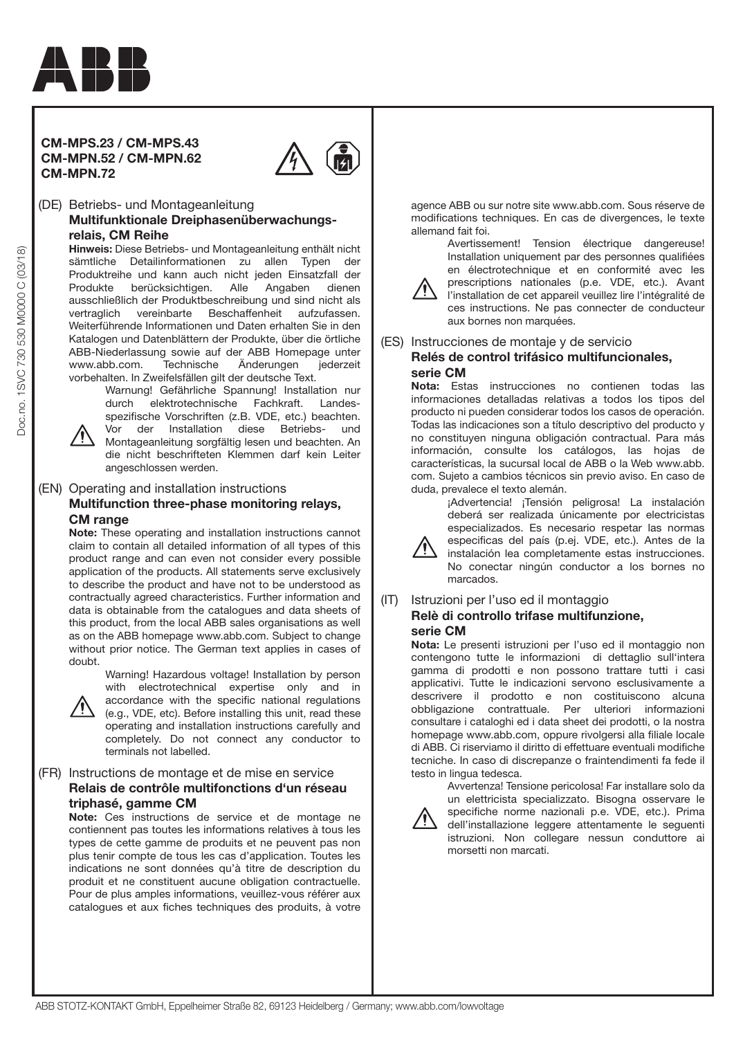

# **CM-MPS.23 / CM-MPS.43 CM-MPN.52 / CM-MPN.62 CM-MPN.72**



# (DE) Betriebs- und Montageanleitung  **Multifunktionale Dreiphasenüberwachungsrelais, CM Reihe**

**Hinweis:** Diese Betriebs- und Montageanleitung enthält nicht sämtliche Detailinformationen zu allen Typen der Produktreihe und kann auch nicht jeden Einsatzfall der Produkte berücksichtigen. Alle Angaben dienen ausschließlich der Produktbeschreibung und sind nicht als vertraglich vereinbarte Beschaffenheit aufzufassen. Weiterführende Informationen und Daten erhalten Sie in den Katalogen und Datenblättern der Produkte, über die örtliche ABB-Niederlassung sowie auf der ABB Homepage unter<br>www.abb.com. Technische Änderungen iederzeit www.abb.com. Technische Änderungen vorbehalten. In Zweifelsfällen gilt der deutsche Text.

Warnung! Gefährliche Spannung! Installation nur durch elektrotechnische Fachkraft. Landesspezifische Vorschriften (z.B. VDE, etc.) beachten.

Doc.no. 1SVC 730 530 M0000 C (03/18)

Doc.no. 1SVC 730 530 M0000 C (03/18)

Vor der Installation diese Betriebs- und Montageanleitung sorgfältig lesen und beachten. An die nicht beschrifteten Klemmen darf kein Leiter angeschlossen werden.

# (EN) Operating and installation instructions  **Multifunction three-phase monitoring relays, CM range**

**Note:** These operating and installation instructions cannot claim to contain all detailed information of all types of this product range and can even not consider every possible application of the products. All statements serve exclusively to describe the product and have not to be understood as contractually agreed characteristics. Further information and data is obtainable from the catalogues and data sheets of this product, from the local ABB sales organisations as well as on the ABB homepage www.abb.com. Subject to change without prior notice. The German text applies in cases of doubt.

> Warning! Hazardous voltage! Installation by person with electrotechnical expertise only and in



accordance with the specific national regulations (e.g., VDE, etc). Before installing this unit, read these operating and installation instructions carefully and completely. Do not connect any conductor to terminals not labelled.

# (FR) Instructions de montage et de mise en service  **Relais de contrôle multifonctions d'un réseau triphasé, gamme CM**

**Note:** Ces instructions de service et de montage ne contiennent pas toutes les informations relatives à tous les types de cette gamme de produits et ne peuvent pas non plus tenir compte de tous les cas d'application. Toutes les indications ne sont données qu'à titre de description du produit et ne constituent aucune obligation contractuelle. Pour de plus amples informations, veuillez-vous référer aux catalogues et aux fiches techniques des produits, à votre

agence ABB ou sur notre site www.abb.com. Sous réserve de modifications techniques. En cas de divergences, le texte allemand fait foi.



Avertissement! Tension électrique dangereuse! Installation uniquement par des personnes qualifiées en électrotechnique et en conformité avec les prescriptions nationales (p.e. VDE, etc.). Avant

l'installation de cet appareil veuillez lire l'intégralité de ces instructions. Ne pas connecter de conducteur aux bornes non marquées.

## (ES) Instrucciones de montaje y de servicio  **Relés de control trifásico multifuncionales, serie CM**

**Nota:** Estas instrucciones no contienen todas las informaciones detalladas relativas a todos los tipos del producto ni pueden considerar todos los casos de operación. Todas las indicaciones son a título descriptivo del producto y no constituyen ninguna obligación contractual. Para más información, consulte los catálogos, las hojas de características, la sucursal local de ABB o la Web www.abb. com. Sujeto a cambios técnicos sin previo aviso. En caso de duda, prevalece el texto alemán.

¡Advertencia! ¡Tensión peligrosa! La instalación deberá ser realizada únicamente por electricistas especializados. Es necesario respetar las normas



especificas del país (p.ej. VDE, etc.). Antes de la instalación lea completamente estas instrucciones. No conectar ningún conductor a los bornes no marcados.

## (IT) Istruzioni per l'uso ed il montaggio  **Relè di controllo trifase multifunzione,**

morsetti non marcati.

# **serie CM**

**Nota:** Le presenti istruzioni per l'uso ed il montaggio non contengono tutte le informazioni di dettaglio sull'intera gamma di prodotti e non possono trattare tutti i casi applicativi. Tutte le indicazioni servono esclusivamente a descrivere il prodotto e non costituiscono alcuna obbligazione contrattuale. Per ulteriori informazioni consultare i cataloghi ed i data sheet dei prodotti, o la nostra homepage www.abb.com, oppure rivolgersi alla filiale locale di ABB. Ci riserviamo il diritto di effettuare eventuali modifiche tecniche. In caso di discrepanze o fraintendimenti fa fede il testo in lingua tedesca.

Avvertenza! Tensione pericolosa! Far installare solo da un elettricista specializzato. Bisogna osservare le specifiche norme nazionali p.e. VDE, etc.). Prima dell'installazione leggere attentamente le seguenti istruzioni. Non collegare nessun conduttore ai

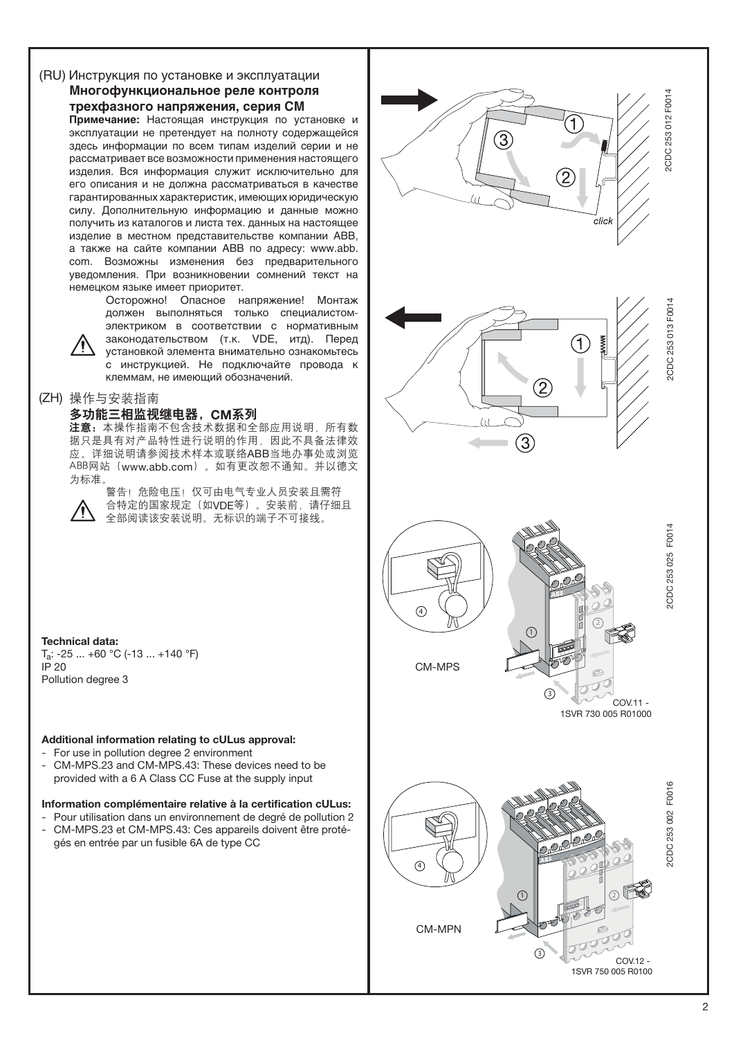# (RU) Инструкция по установке и эксплуатации  **Многофункциональное реле контроля трехфазного напряжения, серия СМ**

**Примечание:** Настоящая инструкция по установке и эксплуатации не претендует на полноту содержащейся здесь информации по всем типам изделий серии и не рассматривает все возможности применения настоящего изделия. Вся информация служит исключительно для его описания и не должна рассматриваться в качестве гарантированных характеристик, имеющих юридическую силу. Дополнительную информацию и данные можно получить из каталогов и листа тех. данных на настоящее изделие в местном представительстве компании АВВ, а также на сайте компании АВВ по адресу: www.abb. com. Возможны изменения без предварительного уведомления. При возникновении сомнений текст на немецком языке имеет приоритет.

> Oсторожно! Опасное напряжение! Монтаж должен выполняться только специалистомэлектриком в соответствии с нормативным законодательством (т.к. VDE, итд). Перед установкой элемента внимательно ознакомьтесь

с инструкцией. Не подключайте провода к клеммам, не имеющий обозначений.

# (ZH) 操作与安装指南

# 多功能三相监视继电器,CM系列

ጀᅪǖԨ֡ፕኸళփԈࡤरຍຕࢅඇևᆌᆩຫLjᆶຕ 据只是具有对产品特性进行说明的作用。因此不具备法律效 应。详细说明请参阅技术样本或联络ABB当地办事处或浏览 ABB网站 (www.abb.com)。如有更改恕不通知。并以德文 为标准。



警告!危险电压!仅可由电气专业人员安装且需符 合特定的国家规定(如VDE等)。安装前,请仔细且 全部阅读该安装说明。无标识的端子不可接线。

**Technical data:**  $T_a$ : -25 ... +60 °C (-13 ... +140 °F) IP 20 Pollution degree 3

# **Additional information relating to cULus approval:**

- For use in pollution degree 2 environment
- CM-MPS.23 and CM-MPS.43: These devices need to be provided with a 6 A Class CC Fuse at the supply input

# **Information complémentaire relative à la certification cULus:**

Pour utilisation dans un environnement de degré de pollution 2 - CM-MPS.23 et CM-MPS.43: Ces appareils doivent être protégés en entrée par un fusible 6A de type CC

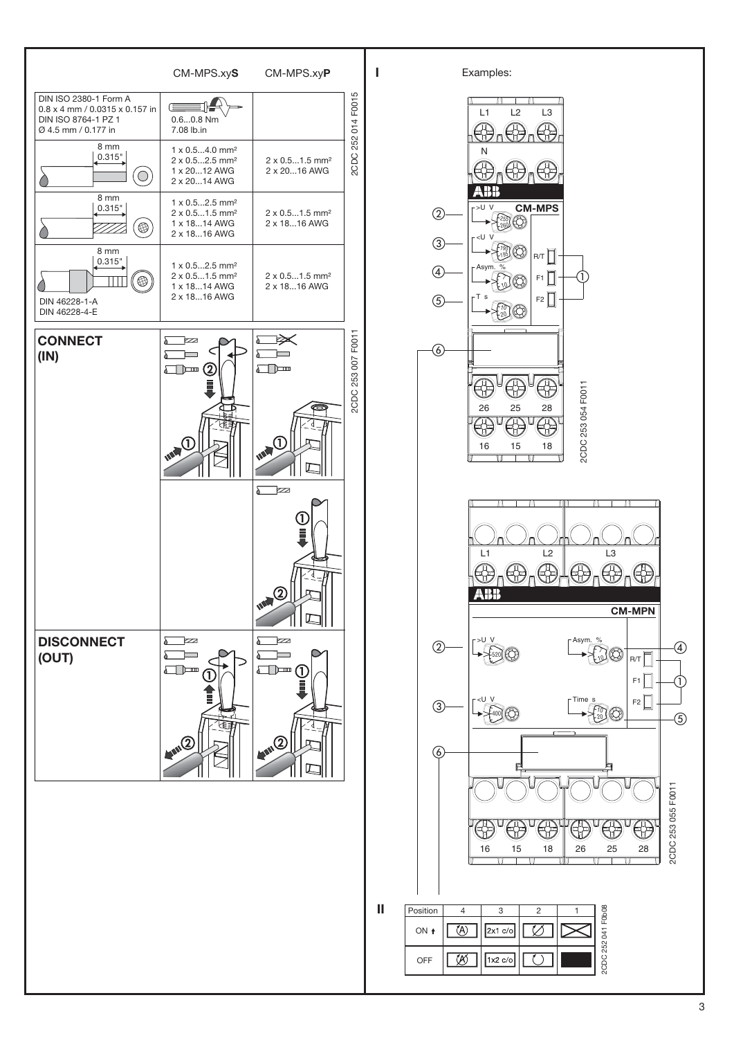

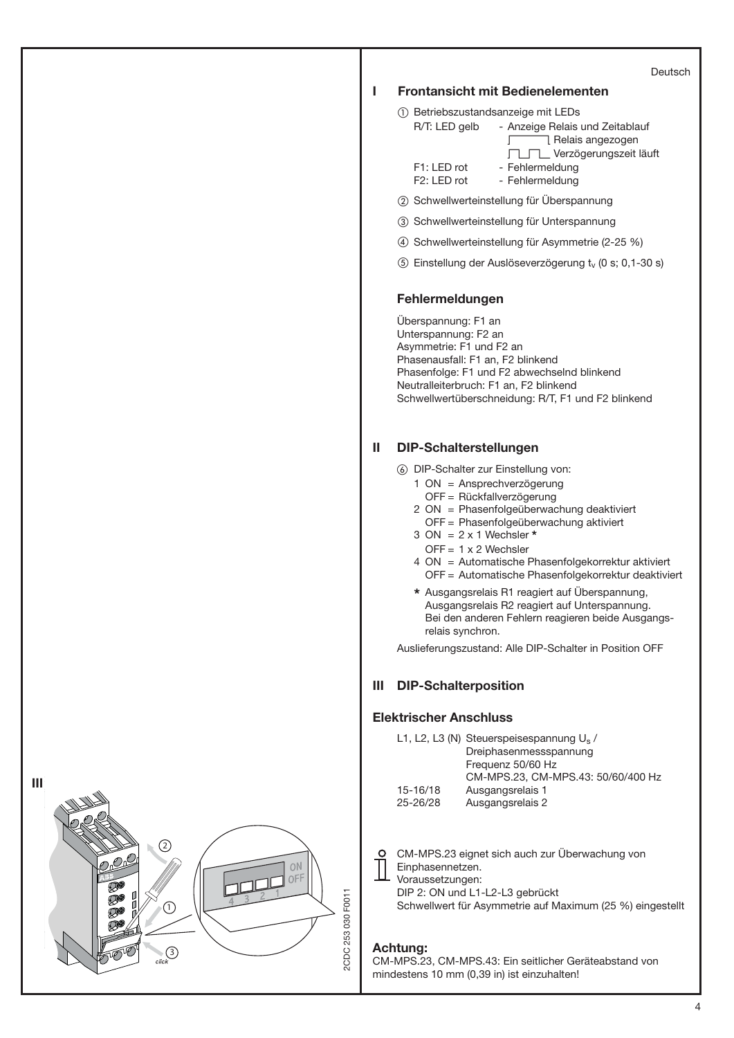|                   |   |                                                                                                              |                                                                                                                                                                                                                                                                                                                                                                                                                                                                                                                       | Deutsch |
|-------------------|---|--------------------------------------------------------------------------------------------------------------|-----------------------------------------------------------------------------------------------------------------------------------------------------------------------------------------------------------------------------------------------------------------------------------------------------------------------------------------------------------------------------------------------------------------------------------------------------------------------------------------------------------------------|---------|
|                   | ı |                                                                                                              | <b>Frontansicht mit Bedienelementen</b>                                                                                                                                                                                                                                                                                                                                                                                                                                                                               |         |
|                   |   | R/T: LED gelb<br>F1: LED rot                                                                                 | 1) Betriebszustandsanzeige mit LEDs<br>- Anzeige Relais und Zeitablauf<br>7 Relais angezogen<br>L<br>□ Verzögerungszeit läuft<br>- Fehlermeldung                                                                                                                                                                                                                                                                                                                                                                      |         |
|                   |   | F2: LED rot                                                                                                  | - Fehlermeldung                                                                                                                                                                                                                                                                                                                                                                                                                                                                                                       |         |
|                   |   |                                                                                                              | 2 Schwellwerteinstellung für Überspannung                                                                                                                                                                                                                                                                                                                                                                                                                                                                             |         |
|                   |   |                                                                                                              | 3 Schwellwerteinstellung für Unterspannung                                                                                                                                                                                                                                                                                                                                                                                                                                                                            |         |
|                   |   |                                                                                                              | 4) Schwellwerteinstellung für Asymmetrie (2-25 %)                                                                                                                                                                                                                                                                                                                                                                                                                                                                     |         |
|                   |   |                                                                                                              | 5) Einstellung der Auslöseverzögerung t <sub>v</sub> (0 s; 0,1-30 s)                                                                                                                                                                                                                                                                                                                                                                                                                                                  |         |
|                   |   | Fehlermeldungen                                                                                              |                                                                                                                                                                                                                                                                                                                                                                                                                                                                                                                       |         |
|                   |   | Überspannung: F1 an<br>Unterspannung: F2 an<br>Asymmetrie: F1 und F2 an<br>Phasenausfall: F1 an, F2 blinkend | Phasenfolge: F1 und F2 abwechselnd blinkend<br>Neutralleiterbruch: F1 an, F2 blinkend<br>Schwellwertüberschneidung: R/T, F1 und F2 blinkend                                                                                                                                                                                                                                                                                                                                                                           |         |
|                   | Ш | <b>DIP-Schalterstellungen</b>                                                                                |                                                                                                                                                                                                                                                                                                                                                                                                                                                                                                                       |         |
|                   |   | $3 \text{ ON} = 2 \times 1$ Wechsler *<br>$OFF = 1 \times 2$ Wechsler<br>relais synchron.                    | 6 DIP-Schalter zur Einstellung von:<br>1 ON = Ansprechverzögerung<br>OFF = Rückfallverzögerung<br>2 ON = Phasenfolgeüberwachung deaktiviert<br>OFF = Phasenfolgeüberwachung aktiviert<br>4 ON = Automatische Phasenfolgekorrektur aktiviert<br>OFF = Automatische Phasenfolgekorrektur deaktiviert<br>* Ausgangsrelais R1 reagiert auf Überspannung,<br>Ausgangsrelais R2 reagiert auf Unterspannung.<br>Bei den anderen Fehlern reagieren beide Ausgangs-<br>Auslieferungszustand: Alle DIP-Schalter in Position OFF |         |
|                   | Ш | <b>DIP-Schalterposition</b>                                                                                  |                                                                                                                                                                                                                                                                                                                                                                                                                                                                                                                       |         |
|                   |   | <b>Elektrischer Anschluss</b>                                                                                |                                                                                                                                                                                                                                                                                                                                                                                                                                                                                                                       |         |
|                   |   | 15-16/18                                                                                                     | L1, L2, L3 (N) Steuerspeisespannung U <sub>s</sub> /<br>Dreiphasenmessspannung<br>Frequenz 50/60 Hz<br>CM-MPS.23, CM-MPS.43: 50/60/400 Hz<br>Ausgangsrelais 1                                                                                                                                                                                                                                                                                                                                                         |         |
|                   |   | 25-26/28                                                                                                     | Ausgangsrelais 2                                                                                                                                                                                                                                                                                                                                                                                                                                                                                                      |         |
| ΟN<br>ንFF         |   | Einphasennetzen.<br>Voraussetzungen:<br>DIP 2: ON und L1-L2-L3 gebrückt                                      | CM-MPS.23 eignet sich auch zur Überwachung von<br>Schwellwert für Asymmetrie auf Maximum (25 %) eingestellt                                                                                                                                                                                                                                                                                                                                                                                                           |         |
| CDC 253 030 F0011 |   | Achtung:                                                                                                     | CM-MPS.23, CM-MPS.43: Ein seitlicher Geräteabstand von                                                                                                                                                                                                                                                                                                                                                                                                                                                                |         |

mindestens 10 mm (0,39 in) ist einzuhalten!

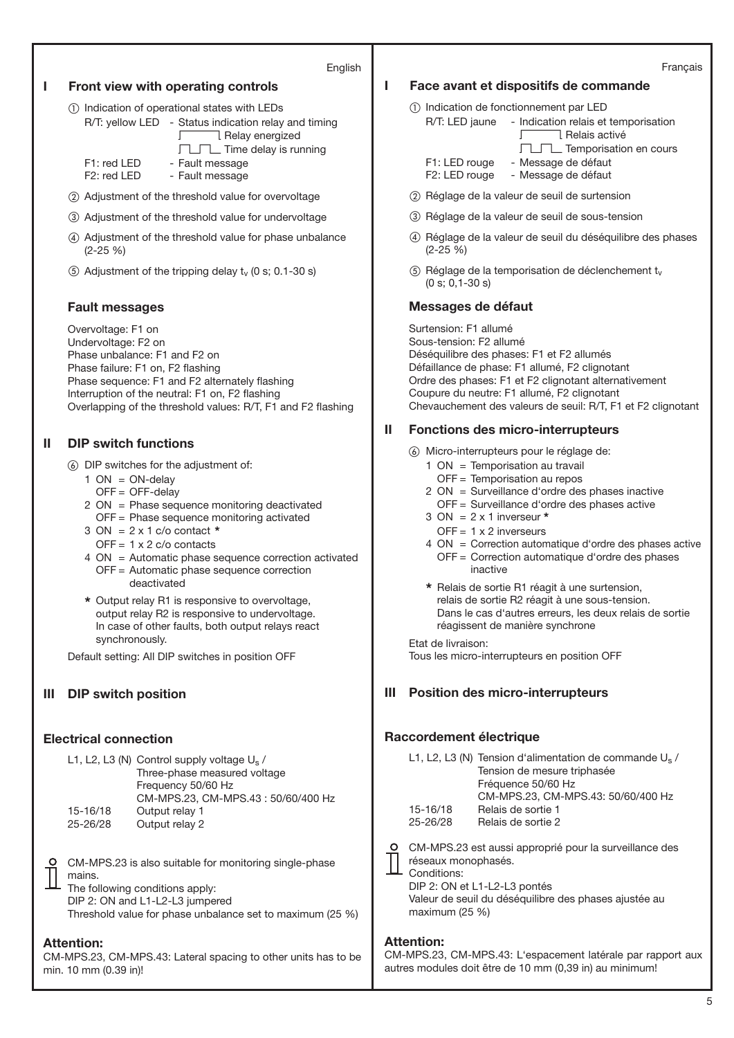## English

# **I Front view with operating controls**

- Indication of operational states with LEDs R/T: yellow LED - Status indication relay and timing
	- Relay energized

 $\Box$  $\Box$  Time delay is running

F1: red LED - Fault message F2: red LED - Fault message

- Adjustment of the threshold value for overvoltage
- Adjustment of the threshold value for undervoltage
- Adjustment of the threshold value for phase unbalance (2-25 %)
- (5) Adjustment of the tripping delay  $t_v$  (0 s; 0.1-30 s)

# **Fault messages**

Overvoltage: F1 on Undervoltage: F2 on Phase unbalance: F1 and F2 on Phase failure: F1 on, F2 flashing Phase sequence: F1 and F2 alternately flashing Interruption of the neutral: F1 on, F2 flashing Overlapping of the threshold values: R/T, F1 and F2 flashing

# **II DIP switch functions**

- DIP switches for the adjustment of:
	- $1 ON = ON$ -delay
		- $OFF = OFF$ -delay
	- 2 ON = Phase sequence monitoring deactivated OFF = Phase sequence monitoring activated
	- 3 ON = 2 x 1 c/o contact **\***
	- $OFF = 1 x 2 c/o$  contacts
	- 4 ON = Automatic phase sequence correction activated OFF = Automatic phase sequence correction deactivated
	- **\*** Output relay R1 is responsive to overvoltage, output relay R2 is responsive to undervoltage. In case of other faults, both output relays react synchronously.

Default setting: All DIP switches in position OFF

# **III DIP switch position**

# **Electrical connection**

|          | L1, L2, L3 (N) Control supply voltage $U_s$ / |
|----------|-----------------------------------------------|
|          | Three-phase measured voltage                  |
|          | Frequency 50/60 Hz                            |
|          | CM-MPS.23, CM-MPS.43: 50/60/400 Hz            |
| 15-16/18 | Output relay 1                                |
| 25-26/28 | Output relay 2                                |
|          |                                               |

CM-MPS.23 is also suitable for monitoring single-phase mains.

The following conditions apply: DIP 2: ON and L1-L2-L3 jumpered

Threshold value for phase unbalance set to maximum (25 %)

## **Attention:**

CM-MPS.23, CM-MPS.43: Lateral spacing to other units has to be min. 10 mm (0.39 in)!

- **I Face avant et dispositifs de commande**
	- Indication de fonctionnement par LED R/T: LED jaune - Indication relais et temporisation
		- Velais activé TLTL Temporisation en cours F1: LED rouge - Message de défaut F2: LED rouge - Message de défaut
	- Réglage de la valeur de seuil de surtension
	- Réglage de la valeur de seuil de sous-tension
	- Réglage de la valeur de seuil du déséquilibre des phases (2-25 %)
	- $\circ$  Réglage de la temporisation de déclenchement t<sub>v</sub> (0 s; 0,1-30 s)

## **Messages de défaut**

Surtension: F1 allumé Sous-tension: F2 allumé Déséquilibre des phases: F1 et F2 allumés Défaillance de phase: F1 allumé, F2 clignotant Ordre des phases: F1 et F2 clignotant alternativement Coupure du neutre: F1 allumé, F2 clignotant Chevauchement des valeurs de seuil: R/T, F1 et F2 clignotant

## **II Fonctions des micro-interrupteurs**

- Micro-interrupteurs pour le réglage de:
	- 1 ON = Temporisation au travail
		- OFF = Temporisation au repos
	- 2 ON = Surveillance d'ordre des phases inactive
		- OFF = Surveillance d'ordre des phases active
	- 3 ON = 2 x 1 inverseur **\***
	- $OFF = 1 x 2$  inverseurs
	- 4 ON = Correction automatique d'ordre des phases active OFF = Correction automatique d'ordre des phases inactive
	- **\*** Relais de sortie R1 réagit à une surtension, relais de sortie R2 réagit à une sous-tension. Dans le cas d'autres erreurs, les deux relais de sortie réagissent de manière synchrone

#### Etat de livraison:

Tous les micro-interrupteurs en position OFF

# **III Position des micro-interrupteurs**

# **Raccordement électrique**

|          | L1, L2, L3 (N) Tension d'alimentation de commande $U_s$ / |
|----------|-----------------------------------------------------------|
|          | Tension de mesure triphasée                               |
|          | Fréquence 50/60 Hz                                        |
|          | CM-MPS.23, CM-MPS.43: 50/60/400 Hz                        |
| 15-16/18 | Relais de sortie 1                                        |
| 25-26/28 | Relais de sortie 2                                        |
|          |                                                           |
|          | CM-MPS.23 est aussi approprié pour la surveillance des    |
|          |                                                           |

réseaux monophasés.

Conditions: DIP 2: ON et L1-L2-L3 pontés

Valeur de seuil du déséquilibre des phases ajustée au maximum (25 %)

## **Attention:**

CM-MPS.23, CM-MPS.43: L'espacement latérale par rapport aux autres modules doit être de 10 mm (0,39 in) au minimum!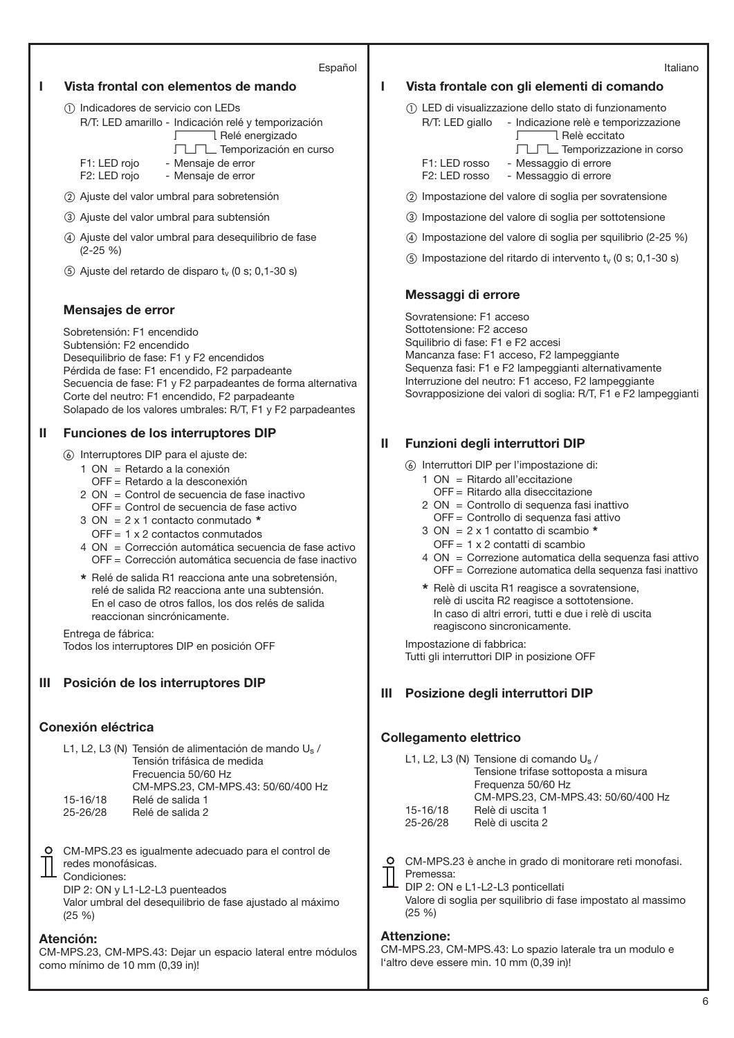#### Español

## **I Vista frontal con elementos de mando**

- Indicadores de servicio con LEDs R/T: LED amarillo - Indicación relé y temporización **S** Relé energizado  $\Box\Box\Box$  Temporización en curso F1: LED rojo - Mensaje de error
	- F2: LED rojo Mensaje de error
- Ajuste del valor umbral para sobretensión
- Ajuste del valor umbral para subtensión
- Ajuste del valor umbral para desequilibrio de fase (2-25 %)
- (5) Ajuste del retardo de disparo  $t_v$  (0 s; 0,1-30 s)

### **Mensajes de error**

Sobretensión: F1 encendido Subtensión: F2 encendido Desequilibrio de fase: F1 y F2 encendidos Pérdida de fase: F1 encendido, F2 parpadeante Secuencia de fase: F1 y F2 parpadeantes de forma alternativa Corte del neutro: F1 encendido, F2 parpadeante Solapado de los valores umbrales: R/T, F1 y F2 parpadeantes

## **II Funciones de los interruptores DIP**

- Interruptores DIP para el ajuste de:
	- 1 ON = Retardo a la conexión
		- OFF = Retardo a la desconexión
	- 2 ON = Control de secuencia de fase inactivo OFF = Control de secuencia de fase activo
	- 3 ON = 2 x 1 contacto conmutado **\***
	- OFF = 1 x 2 contactos conmutados
	- 4 ON = Corrección automática secuencia de fase activo OFF = Corrección automática secuencia de fase inactivo
	- **\*** Relé de salida R1 reacciona ante una sobretensión, relé de salida R2 reacciona ante una subtensión. En el caso de otros fallos, los dos relés de salida reaccionan sincrónicamente.

Entrega de fábrica: Todos los interruptores DIP en posición OFF

## **III Posición de los interruptores DIP**

# **Conexión eléctrica**

|          | L1, L2, L3 (N) Tensión de alimentación de mando $U_s/$ |
|----------|--------------------------------------------------------|
|          | Tensión trifásica de medida                            |
|          | Frecuencia 50/60 Hz                                    |
|          | CM-MPS.23. CM-MPS.43: 50/60/400 Hz                     |
| 15-16/18 | Relé de salida 1                                       |
| 25-26/28 | Relé de salida 2                                       |

CM-MPS.23 es igualmente adecuado para el control de redes monofásicas. Condiciones:

DIP 2: ON y L1-L2-L3 puenteados Valor umbral del desequilibrio de fase ajustado al máximo (25 %)

### **Atención:**

CM-MPS.23, CM-MPS.43: Dejar un espacio lateral entre módulos como mínimo de 10 mm (0,39 in)!

**I Vista frontale con gli elementi di comando**

- LED di visualizzazione dello stato di funzionamento

- R/T: LED giallo Indicazione relè e temporizzazione I Relè eccitato TLTL Temporizzazione in corso F1: LED rosso - Messaggio di errore F2: LED rosso - Messaggio di errore
- Impostazione del valore di soglia per sovratensione
- Impostazione del valore di soglia per sottotensione
- Impostazione del valore di soglia per squilibrio (2-25 %)
- $\circledS$  Impostazione del ritardo di intervento t<sub>v</sub> (0 s; 0,1-30 s)

## **Messaggi di errore**

Sovratensione: F1 acceso Sottotensione: F2 acceso Squilibrio di fase: F1 e F2 accesi Mancanza fase: F1 acceso, F2 lampeggiante Sequenza fasi: F1 e F2 lampeggianti alternativamente Interruzione del neutro: F1 acceso, F2 lampeggiante Sovrapposizione dei valori di soglia: R/T, F1 e F2 lampeggianti

# **II Funzioni degli interruttori DIP**

- Interruttori DIP per l'impostazione di:
	- 1 ON = Ritardo all'eccitazione
		- OFF = Ritardo alla diseccitazione
	- 2 ON = Controllo di sequenza fasi inattivo
	- OFF = Controllo di sequenza fasi attivo
	- 3 ON = 2 x 1 contatto di scambio **\***
	- OFF = 1 x 2 contatti di scambio
	- 4 ON = Correzione automatica della sequenza fasi attivo OFF = Correzione automatica della sequenza fasi inattivo
	- **\*** Relè di uscita R1 reagisce a sovratensione, relè di uscita R2 reagisce a sottotensione. In caso di altri errori, tutti e due i relè di uscita reagiscono sincronicamente.

Impostazione di fabbrica: Tutti gli interruttori DIP in posizione OFF

## **III Posizione degli interruttori DIP**

## **Collegamento elettrico**

|          | L1, L2, L3 (N) Tensione di comando $U_s$ / |
|----------|--------------------------------------------|
|          | Tensione trifase sottoposta a misura       |
|          | Frequenza 50/60 Hz                         |
|          | CM-MPS.23, CM-MPS.43: 50/60/400 Hz         |
| 15-16/18 | Relè di uscita 1                           |
| 25-26/28 | Relè di uscita 2                           |
|          |                                            |

CM-MPS.23 è anche in grado di monitorare reti monofasi. Premessa:

DIP 2: ON e L1-L2-L3 ponticellati Valore di soglia per squilibrio di fase impostato al massimo (25 %)

## **Attenzione:**

CM-MPS.23, CM-MPS.43: Lo spazio laterale tra un modulo e l'altro deve essere min. 10 mm (0,39 in)!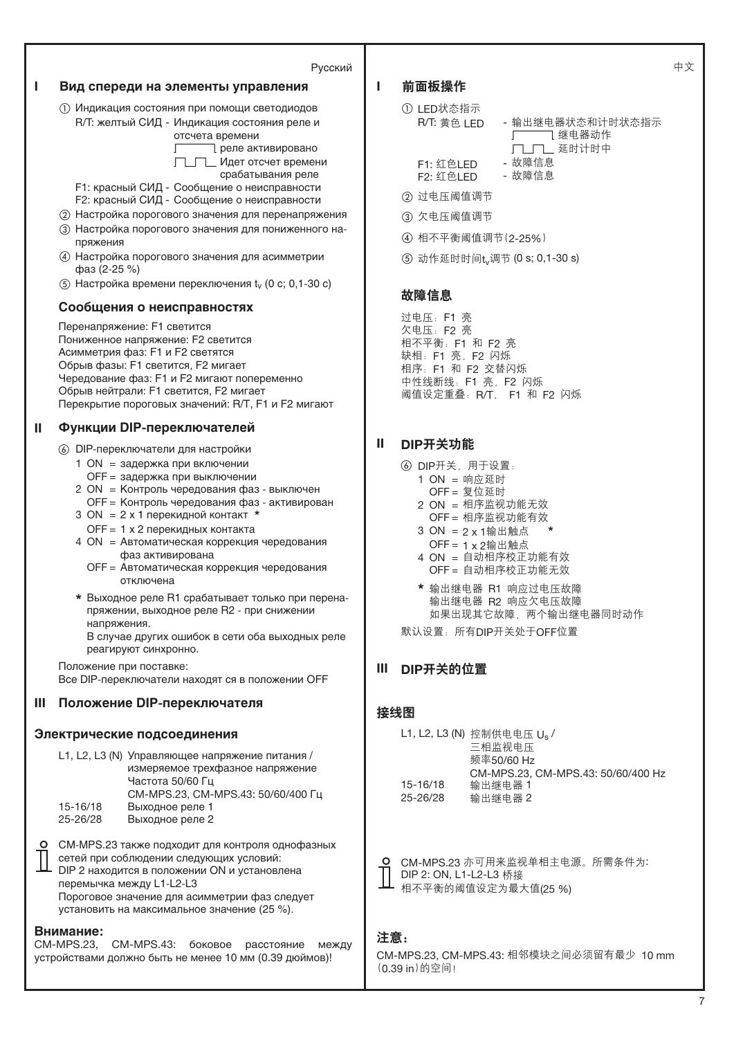

**I Вид спереди на элементы управления**

# I 前面板操作

- ① LED状态指示 R/T: 黄色 LED
	- 「 ̄ ̄ ̄ ̄ ̄ 继电器动作 - 输出继电器状态和计时状态指示  $\Gamma\Box\Gamma\Box$  延时计时中
	- F1: ࢤLED ࠤቱ႑တ
- F2: 红色LED ② 过电压阈值调节
- ③ 欠电压阈值调节
- 4 相不平衡阈值调节 (2-25%)
- 5 动作延时时间t<sub>v</sub>调节 (0 s; 0,1-30 s)

## 故障信息

过电压: F1 亮 欠电压: F2 亮 相不平衡: F1 和 F2 亮 缺相: F1 亮, F2 闪烁 相序: F1 和 F2 交替闪烁 ····<br>中性线断线: F1 亮, F2 闪烁 阈值设定重叠: R/T、 F1 和 F2 闪烁

# **II** DIP开关功能

- ⑥ DIP开关, 用于设置:
	- $1$  ON = 响应延时
		- $OFF = ~~复~~位延时$
	- $2$  ON = 相序监视功能无效 OFF = 相序监视功能有效
	- 3 ON = 2 x 1输出触点
	- $OFF = 1 × 2$ 输出触点
	- 4 ON = 自动相序校正功能有效 OFF = 自动相序校正功能无效
	- \* 输出继电器 R1 响应过电压故障 输出继电器 R2 响应欠电压故障 如果出现其它故障, 两个输出继电器同时动作
- 默认设置: 所有DIP开关处于OFF位置

# **III** DIP开关的位置

# 接线图

|          | L1, L2, L3 (N) 控制供电电压 U <sub>s</sub> / |
|----------|----------------------------------------|
|          | 三相监视电压                                 |
|          | 频率50/60 Hz                             |
|          | CM-MPS.23, CM-MPS.43: 50/60/400 Hz     |
| 15-16/18 | 输出继电器 1                                |
| 25-26/28 | 输出继电器 2                                |
|          |                                        |

O CM-MPS.23 亦可用来监视单相主电源。所需条件为: DIP 2: ON, L1-L2-L3 桥接 相不平衡的阈值设定为最大值(25 %)

# 注意:

CM-MPS.23, CM-MPS.43: 相邻模块之间必须留有最少 10 mm (0.39 in)的空间!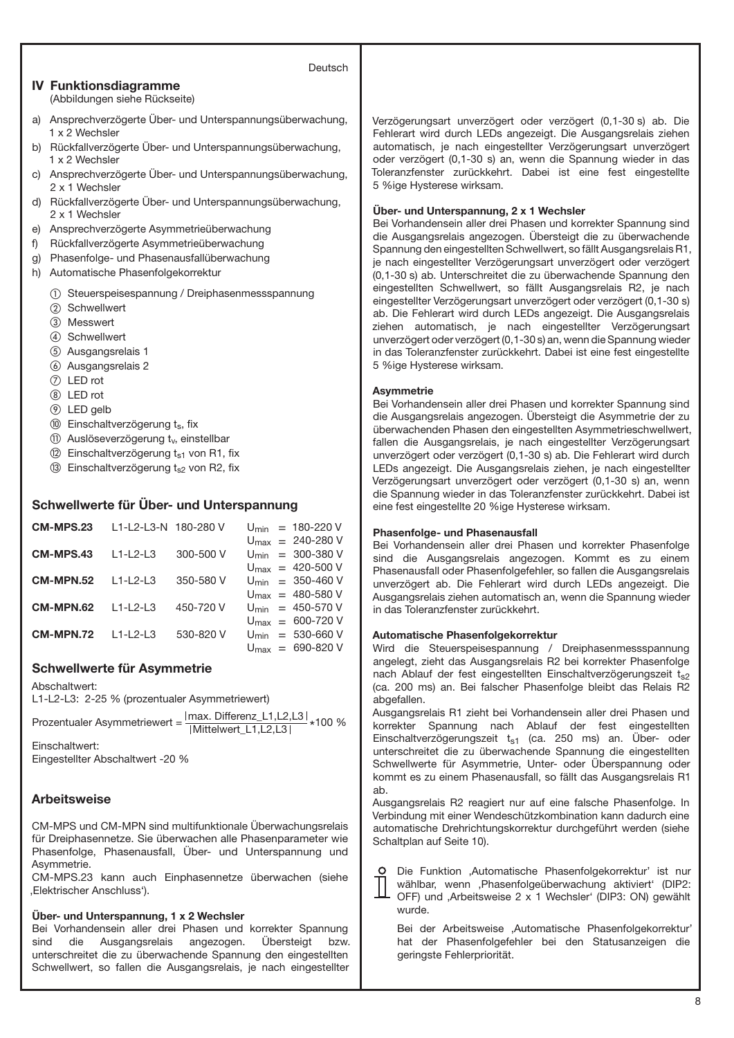#### Deutsch

## **IV Funktionsdiagramme** (Abbildungen siehe Rückseite)

- a) Ansprechverzögerte Über- und Unterspannungsüberwachung, 1 x 2 Wechsler
- b) Rückfallverzögerte Über- und Unterspannungsüberwachung, 1 x 2 Wechsler
- c) Ansprechverzögerte Über- und Unterspannungsüberwachung, 2 x 1 Wechsler
- d) Rückfallverzögerte Über- und Unterspannungsüberwachung, 2 x 1 Wechsler
- e) Ansprechverzögerte Asymmetrieüberwachung
- f) Rückfallverzögerte Asymmetrieüberwachung
- g) Phasenfolge- und Phasenausfallüberwachung
- h) Automatische Phasenfolgekorrektur
	- Steuerspeisespannung / Dreiphasenmessspannung
	- 2 Schwellwert
	- Messwert
	- Schwellwert
	- Ausgangsrelais 1
	- Ausgangsrelais 2
	- LED rot
	- LED rot
	- LED gelb
	- $<sup>10</sup>$  Einschaltverzögerung ts, fix</sup>
	- (ii) Auslöseverzögerung t<sub>v</sub>, einstellbar
	- $(2)$  Einschaltverzögerung  $t_{s1}$  von R1, fix
	- $(3)$  Einschaltverzögerung  $t<sub>s2</sub>$  von R2, fix

# **Schwellwerte für Über- und Unterspannung**

| CM-MPS.23 | L1-L2-L3-N 180-280 V |               |  | $U_{\text{min}} = 180 - 220 V$         |
|-----------|----------------------|---------------|--|----------------------------------------|
|           |                      |               |  | $U_{\text{max}} = 240 - 280 \text{ V}$ |
| CM-MPS.43 | $L1-L2-L3$           | $300 - 500 V$ |  | $U_{\text{min}} = 300 - 380 \text{ V}$ |
|           |                      |               |  | $U_{\text{max}} = 420 - 500 \text{ V}$ |
| CM-MPN.52 | $11 - 213$           | 350-580 V     |  | $U_{\text{min}} = 350 - 460 \text{ V}$ |
|           |                      |               |  | $U_{\text{max}} = 480 - 580$ V         |
| CM-MPN.62 | $11-12-13$           | 450-720 V     |  | $U_{\text{min}} = 450 - 570 V$         |
|           |                      |               |  | $U_{\text{max}} = 600 - 720 V$         |
| CM-MPN.72 | $11-12-13$           | 530-820 V     |  | $U_{\text{min}} = 530 - 660 \text{ V}$ |
|           |                      |               |  | $U_{\text{max}} = 690 - 820 \text{ V}$ |

## **Schwellwerte für Asymmetrie**

Abschaltwert:

L1-L2-L3: 2-25 % (prozentualer Asymmetriewert)

Prozentualer Asymmetriewert =  $\frac{|\text{max. Differenz\_L1,L2,L3}|}{|\text{Mittelwert\_L1,L2,L3}|}$  \*100 %

Einschaltwert: Eingestellter Abschaltwert -20 %

## **Arbeitsweise**

CM-MPS und CM-MPN sind multifunktionale Überwachungsrelais für Dreiphasennetze. Sie überwachen alle Phasenparameter wie Phasenfolge, Phasenausfall, Über- und Unterspannung und Asymmetrie.

CM-MPS.23 kann auch Einphasennetze überwachen (siehe 'Elektrischer Anschluss').

### **Über- und Unterspannung, 1 x 2 Wechsler**

Bei Vorhandensein aller drei Phasen und korrekter Spannung sind die Ausgangsrelais angezogen. Übersteigt bzw. unterschreitet die zu überwachende Spannung den eingestellten Schwellwert, so fallen die Ausgangsrelais, je nach eingestellter

Verzögerungsart unverzögert oder verzögert (0,1-30 s) ab. Die Fehlerart wird durch LEDs angezeigt. Die Ausgangsrelais ziehen automatisch, je nach eingestellter Verzögerungsart unverzögert oder verzögert (0,1-30 s) an, wenn die Spannung wieder in das Toleranzfenster zurückkehrt. Dabei ist eine fest eingestellte 5 %ige Hysterese wirksam.

#### **Über- und Unterspannung, 2 x 1 Wechsler**

Bei Vorhandensein aller drei Phasen und korrekter Spannung sind die Ausgangsrelais angezogen. Übersteigt die zu überwachende Spannung den eingestellten Schwellwert, so fällt Ausgangsrelais R1, je nach eingestellter Verzögerungsart unverzögert oder verzögert (0,1-30 s) ab. Unterschreitet die zu überwachende Spannung den eingestellten Schwellwert, so fällt Ausgangsrelais R2, je nach eingestellter Verzögerungsart unverzögert oder verzögert (0,1-30 s) ab. Die Fehlerart wird durch LEDs angezeigt. Die Ausgangsrelais ziehen automatisch, je nach eingestellter Verzögerungsart unverzögert oder verzögert (0,1-30 s) an, wenn die Spannung wieder in das Toleranzfenster zurückkehrt. Dabei ist eine fest eingestellte 5 %ige Hysterese wirksam.

### **Asymmetrie**

Bei Vorhandensein aller drei Phasen und korrekter Spannung sind die Ausgangsrelais angezogen. Übersteigt die Asymmetrie der zu überwachenden Phasen den eingestellten Asymmetrieschwellwert, fallen die Ausgangsrelais, je nach eingestellter Verzögerungsart unverzögert oder verzögert (0,1-30 s) ab. Die Fehlerart wird durch LEDs angezeigt. Die Ausgangsrelais ziehen, je nach eingestellter Verzögerungsart unverzögert oder verzögert (0,1-30 s) an, wenn die Spannung wieder in das Toleranzfenster zurückkehrt. Dabei ist eine fest eingestellte 20 %ige Hysterese wirksam.

#### **Phasenfolge- und Phasenausfall**

Bei Vorhandensein aller drei Phasen und korrekter Phasenfolge sind die Ausgangsrelais angezogen. Kommt es zu einem Phasenausfall oder Phasenfolgefehler, so fallen die Ausgangsrelais unverzögert ab. Die Fehlerart wird durch LEDs angezeigt. Die Ausgangsrelais ziehen automatisch an, wenn die Spannung wieder in das Toleranzfenster zurückkehrt.

#### **Automatische Phasenfolgekorrektur**

Wird die Steuerspeisespannung / Dreiphasenmessspannung angelegt, zieht das Ausgangsrelais R2 bei korrekter Phasenfolge nach Ablauf der fest eingestellten Einschaltverzögerungszeit ts2 (ca. 200 ms) an. Bei falscher Phasenfolge bleibt das Relais R2 abgefallen.

Ausgangsrelais R1 zieht bei Vorhandensein aller drei Phasen und korrekter Spannung nach Ablauf der fest eingestellten Einschaltverzögerungszeit  $t_{s1}$  (ca. 250 ms) an. Über- oder unterschreitet die zu überwachende Spannung die eingestellten Schwellwerte für Asymmetrie, Unter- oder Überspannung oder kommt es zu einem Phasenausfall, so fällt das Ausgangsrelais R1 ab.

Ausgangsrelais R2 reagiert nur auf eine falsche Phasenfolge. In Verbindung mit einer Wendeschützkombination kann dadurch eine automatische Drehrichtungskorrektur durchgeführt werden (siehe Schaltplan auf Seite 10).

Die Funktion 'Automatische Phasenfolgekorrektur' ist nur wählbar, wenn , Phasenfolgeüberwachung aktiviert' (DIP2: OFF) und ,Arbeitsweise 2 x 1 Wechsler' (DIP3: ON) gewählt wurde.

Bei der Arbeitsweise ,Automatische Phasenfolgekorrektur' hat der Phasenfolgefehler bei den Statusanzeigen die geringste Fehlerpriorität.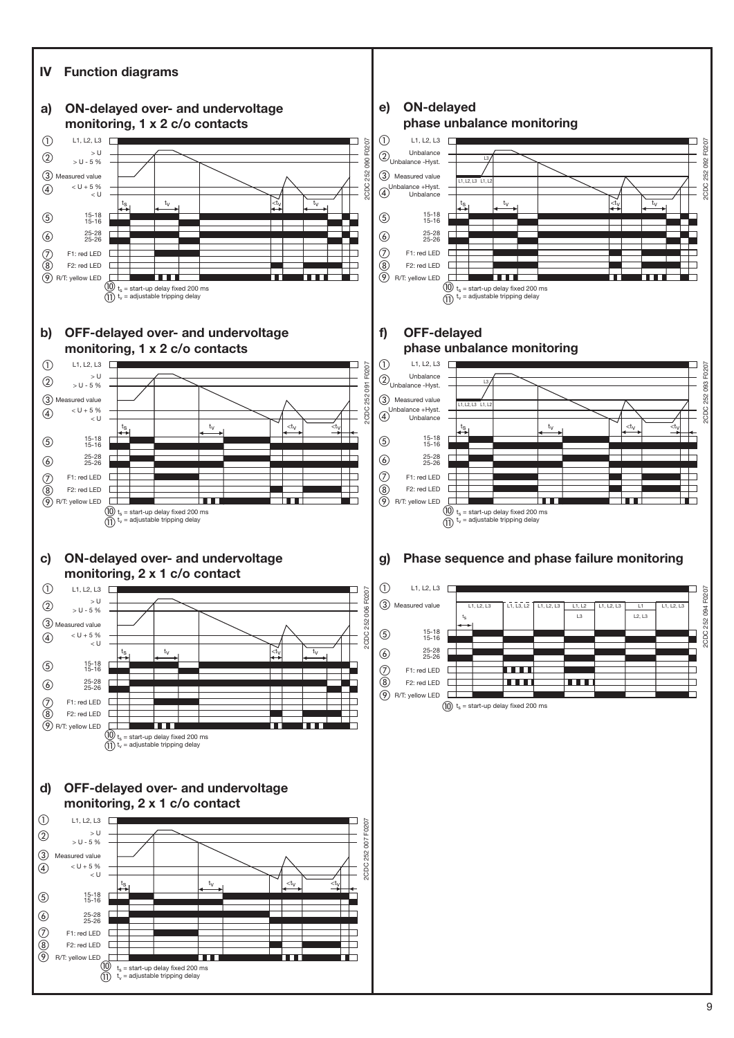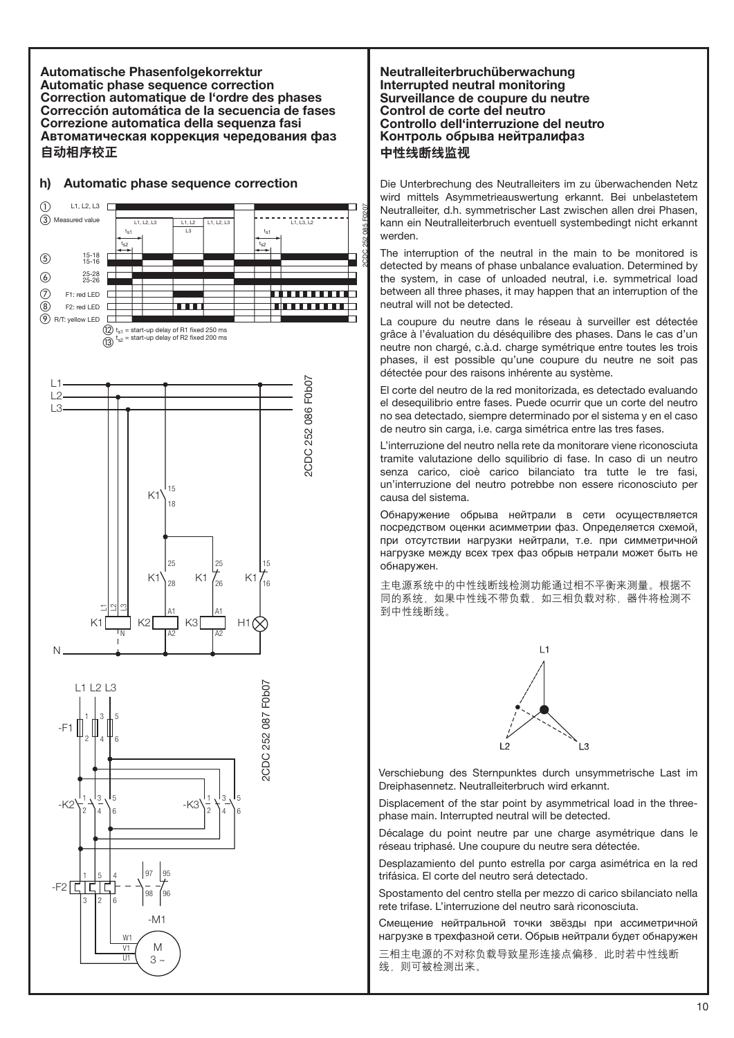**Automatische Phasenfolgekorrektur Automatic phase sequence correction Correction automatique de l'ordre des phases Corrección automática de la secuencia de fases Correzione automatica della sequenza fasi Автоматическая коррекция чередования фаз** 自动相序校正



# **h) Automatic phase sequence correction**

## **Neutralleiterbruchüberwachung Interrupted neutral monitoring Surveillance de coupure du neutre Control de corte del neutro Controllo dell'interruzione del neutro Контроль обрыва нейтралифаз** 中性线断线监视

2CDC 252 085 F0207

Die Unterbrechung des Neutralleiters im zu überwachenden Netz wird mittels Asymmetrieauswertung erkannt. Bei unbelastetem Neutralleiter, d.h. symmetrischer Last zwischen allen drei Phasen, kann ein Neutralleiterbruch eventuell systembedingt nicht erkannt werden.

The interruption of the neutral in the main to be monitored is detected by means of phase unbalance evaluation. Determined by the system, in case of unloaded neutral, i.e. symmetrical load between all three phases, it may happen that an interruption of the neutral will not be detected.

La coupure du neutre dans le réseau à surveiller est détectée grâce à l'évaluation du déséquilibre des phases. Dans le cas d'un neutre non chargé, c.à.d. charge symétrique entre toutes les trois phases, il est possible qu'une coupure du neutre ne soit pas détectée pour des raisons inhérente au système.

El corte del neutro de la red monitorizada, es detectado evaluando el desequilibrio entre fases. Puede ocurrir que un corte del neutro no sea detectado, siempre determinado por el sistema y en el caso de neutro sin carga, i.e. carga simétrica entre las tres fases.

L'interruzione del neutro nella rete da monitorare viene riconosciuta tramite valutazione dello squilibrio di fase. In caso di un neutro senza carico, cioè carico bilanciato tra tutte le tre fasi, un'interruzione del neutro potrebbe non essere riconosciuto per causa del sistema.

Обнаружение обрыва нейтрали в сети осуществляется посредством оценки асимметрии фаз. Определяется схемой, при отсутствии нагрузки нейтрали, т.е. при симметричной нагрузке между всех трех фаз обрыв нетрали может быть не обнаружен.

主电源系统中的中性线断线检测功能通过相不平衡来测量。根据不 同的系统,如果中性线不带负载,如三相负载对称,器件将检测不 到中性线断线。



Verschiebung des Sternpunktes durch unsymmetrische Last im Dreiphasennetz. Neutralleiterbruch wird erkannt.

Displacement of the star point by asymmetrical load in the threephase main. Interrupted neutral will be detected.

Décalage du point neutre par une charge asymétrique dans le réseau triphasé. Une coupure du neutre sera détectée.

Desplazamiento del punto estrella por carga asimétrica en la red trifásica. El corte del neutro será detectado.

Spostamento del centro stella per mezzo di carico sbilanciato nella rete trifase. L'interruzione del neutro sarà riconosciuta.

Смещение нейтральной точки звёзды при ассиметричной нагрузке в трехфазной сети. Обрыв нейтрали будет обнаружен

三相主电源的不对称负载导致星形连接点偏移,此时若中性线断 线, 则可被检测出来。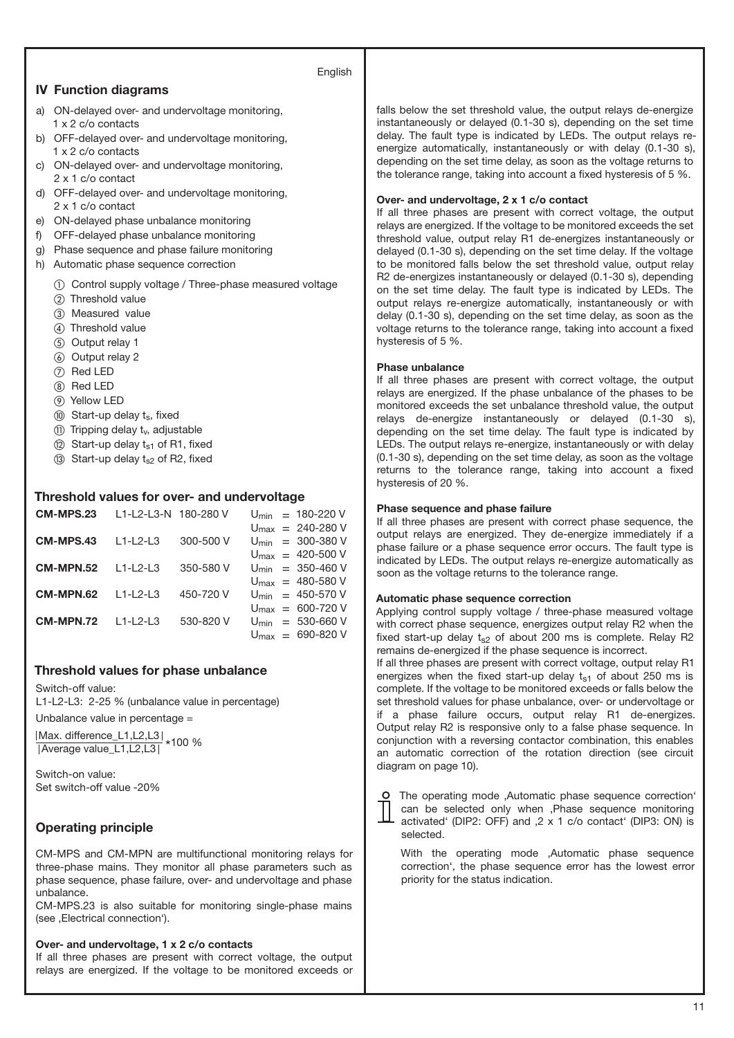## English

## **IV Function diagrams**

- a) ON-delayed over- and undervoltage monitoring, 1 x 2 c/o contacts
- b) OFF-delayed over- and undervoltage monitoring, 1 x 2 c/o contacts
- c) ON-delayed over- and undervoltage monitoring, 2 x 1 c/o contact
- d) OFF-delayed over- and undervoltage monitoring, 2 x 1 c/o contact
- e) ON-delayed phase unbalance monitoring
- f) OFF-delayed phase unbalance monitoring
- g) Phase sequence and phase failure monitoring
- h) Automatic phase sequence correction
	- Control supply voltage / Three-phase measured voltage
	- 2) Threshold value
	- Measured value
	- Threshold value
	- (5) Output relay 1
	- Output relay 2
	- (7) Red LED
	- <sup>(8)</sup> Red LED
	- Yellow LED
	- (iii) Start-up delay ts, fixed
	- $(n)$  Tripping delay  $t_v$ , adjustable
	- $(2)$  Start-up delay  $t_{s1}$  of R1, fixed
	- (3) Start-up delay  $t_{s2}$  of R2, fixed

## **Threshold values for over- and undervoltage**

| <b>CM-MPS.23</b> | 11-12-13-N 180-280 V |           |  | $U_{\text{min}} = 180 - 220 V$         |
|------------------|----------------------|-----------|--|----------------------------------------|
|                  |                      |           |  | $U_{\text{max}} = 240 - 280 \text{ V}$ |
| CM-MPS.43        | $11 - 2 - 3$         | 300-500 V |  | $U_{\text{min}} = 300 - 380 \text{ V}$ |
|                  |                      |           |  | $U_{\text{max}} = 420 - 500 \text{ V}$ |
| CM-MPN.52        | $11 - 2 - 3$         | 350-580 V |  | $U_{\text{min}} = 350 - 460 \text{ V}$ |
|                  |                      |           |  | $U_{\text{max}} = 480 - 580$ V         |
| CM-MPN.62        | $11 - 2 - 3$         | 450-720 V |  | $U_{\text{min}} = 450 - 570 V$         |
|                  |                      |           |  | $U_{\text{max}} = 600 - 720 V$         |
| <b>CM-MPN.72</b> | $11 - 2 - 3$         | 530-820 V |  | $U_{\text{min}} = 530 - 660 \text{ V}$ |
|                  |                      |           |  | $U_{\text{max}} = 690 - 820 \text{ V}$ |

## **Threshold values for phase unbalance**

Switch-off value: L1-L2-L3: 2-25 % (unbalance value in percentage)

Unbalance value in percentage =

|Max. difference\_L1,L2,L3|<br>|Average value\_L1,L2,L3| \*100 %

Switch-on value: Set switch-off value -20%

## **Operating principle**

CM-MPS and CM-MPN are multifunctional monitoring relays for three-phase mains. They monitor all phase parameters such as phase sequence, phase failure, over- and undervoltage and phase unbalance.

CM-MPS.23 is also suitable for monitoring single-phase mains (see , Electrical connection').

#### **Over- and undervoltage, 1 x 2 c/o contacts**

If all three phases are present with correct voltage, the output relays are energized. If the voltage to be monitored exceeds or falls below the set threshold value, the output relays de-energize instantaneously or delayed (0.1-30 s), depending on the set time delay. The fault type is indicated by LEDs. The output relays reenergize automatically, instantaneously or with delay (0.1-30 s), depending on the set time delay, as soon as the voltage returns to the tolerance range, taking into account a fixed hysteresis of 5 %.

### **Over- and undervoltage, 2 x 1 c/o contact**

If all three phases are present with correct voltage, the output relays are energized. If the voltage to be monitored exceeds the set threshold value, output relay R1 de-energizes instantaneously or delayed (0.1-30 s), depending on the set time delay. If the voltage to be monitored falls below the set threshold value, output relay R2 de-energizes instantaneously or delayed (0.1-30 s), depending on the set time delay. The fault type is indicated by LEDs. The output relays re-energize automatically, instantaneously or with delay (0.1-30 s), depending on the set time delay, as soon as the voltage returns to the tolerance range, taking into account a fixed hysteresis of 5 %.

#### **Phase unbalance**

If all three phases are present with correct voltage, the output relays are energized. If the phase unbalance of the phases to be monitored exceeds the set unbalance threshold value, the output relays de-energize instantaneously or delayed (0.1-30 s), depending on the set time delay. The fault type is indicated by LEDs. The output relays re-energize, instantaneously or with delay (0.1-30 s), depending on the set time delay, as soon as the voltage returns to the tolerance range, taking into account a fixed hysteresis of 20 %.

#### **Phase sequence and phase failure**

If all three phases are present with correct phase sequence, the output relays are energized. They de-energize immediately if a phase failure or a phase sequence error occurs. The fault type is indicated by LEDs. The output relays re-energize automatically as soon as the voltage returns to the tolerance range.

### **Automatic phase sequence correction**

Applying control supply voltage / three-phase measured voltage with correct phase sequence, energizes output relay R2 when the fixed start-up delay  $t_{s2}$  of about 200 ms is complete. Relay R2 remains de-energized if the phase sequence is incorrect.

If all three phases are present with correct voltage, output relay R1 energizes when the fixed start-up delay  $t_{s1}$  of about 250 ms is complete. If the voltage to be monitored exceeds or falls below the set threshold values for phase unbalance, over- or undervoltage or if a phase failure occurs, output relay R1 de-energizes. Output relay R2 is responsive only to a false phase sequence. In conjunction with a reversing contactor combination, this enables an automatic correction of the rotation direction (see circuit diagram on page 10).



O The operating mode .Automatic phase sequence correction' can be selected only when , Phase sequence monitoring activated' (DIP2: OFF) and  $,2 \times 1$  c/o contact' (DIP3: ON) is selected.

With the operating mode ,Automatic phase sequence correction', the phase sequence error has the lowest error priority for the status indication.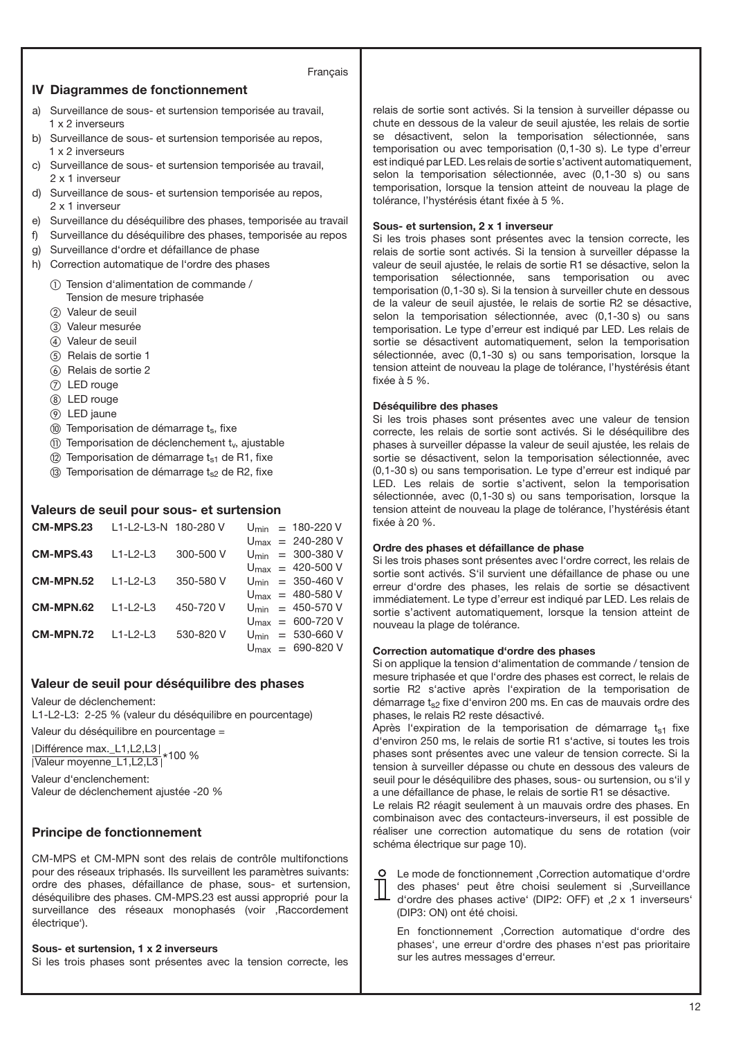## Français

## **IV Diagrammes de fonctionnement**

- a) Surveillance de sous- et surtension temporisée au travail, 1 x 2 inverseurs
- b) Surveillance de sous- et surtension temporisée au repos, 1 x 2 inverseurs
- c) Surveillance de sous- et surtension temporisée au travail, 2 x 1 inverseur
- d) Surveillance de sous- et surtension temporisée au repos, 2 x 1 inverseur
- e) Surveillance du déséquilibre des phases, temporisée au travail
- f) Surveillance du déséquilibre des phases, temporisée au repos
- g) Surveillance d'ordre et défaillance de phase
- h) Correction automatique de l'ordre des phases
	- Tension d'alimentation de commande / Tension de mesure triphasée
	- (2) Valeur de seuil
	- Valeur mesurée
	- Valeur de seuil
	- (5) Relais de sortie 1
	- Relais de sortie 2
	- LED rouge
	- LED rouge
	- LED jaune
	- $(0)$  Temporisation de démarrage  $t_s$ , fixe
	- (ii) Temporisation de déclenchement ty, ajustable
	- $(2)$  Temporisation de démarrage  $t_{s1}$  de R1, fixe
	- $(3)$  Temporisation de démarrage t<sub>s2</sub> de R2, fixe

# **Valeurs de seuil pour sous- et surtension**

| <b>CM-MPS.23</b> | 11-12-13-N 180-280 V |           |  | $U_{\text{min}} = 180 - 220 V$         |
|------------------|----------------------|-----------|--|----------------------------------------|
|                  |                      |           |  | $U_{\text{max}} = 240 - 280 \text{ V}$ |
| CM-MPS.43        | $L1-L2-L3$           | 300-500 V |  | $U_{\text{min}} = 300 - 380 \text{ V}$ |
|                  |                      |           |  | $U_{\text{max}} = 420 - 500 \text{ V}$ |
| <b>CM-MPN.52</b> | $11 - 213$           | 350-580 V |  | $U_{\text{min}} = 350 - 460 \text{ V}$ |
|                  |                      |           |  | $U_{\text{max}} = 480 - 580$ V         |
| CM-MPN.62        | $L1-L2-L3$           | 450-720 V |  | $U_{\text{min}} = 450 - 570 \text{ V}$ |
|                  |                      |           |  | $U_{\text{max}} = 600 - 720 V$         |
| CM-MPN.72        | $11 - 213$           | 530-820 V |  | $U_{\text{min}} = 530 - 660 \text{ V}$ |
|                  |                      |           |  | $U_{\text{max}} = 690 - 820 \text{ V}$ |

# **Valeur de seuil pour déséquilibre des phases**

Valeur de déclenchement:

L1-L2-L3: 2-25 % (valeur du déséquilibre en pourcentage)

Valeur du déséquilibre en pourcentage =

|Différence max.\_L1,L2,L3|<br>|Valeur moyenne\_L1,L2,L3|\*100 %

Valeur d'enclenchement: Valeur de déclenchement ajustée -20 %

# **Principe de fonctionnement**

CM-MPS et CM-MPN sont des relais de contrôle multifonctions pour des réseaux triphasés. Ils surveillent les paramètres suivants: ordre des phases, défaillance de phase, sous- et surtension, déséquilibre des phases. CM-MPS.23 est aussi approprié pour la surveillance des réseaux monophasés (voir , Raccordement électrique').

# **Sous- et surtension, 1 x 2 inverseurs**

Si les trois phases sont présentes avec la tension correcte, les

relais de sortie sont activés. Si la tension à surveiller dépasse ou chute en dessous de la valeur de seuil ajustée, les relais de sortie se désactivent, selon la temporisation sélectionnée, sans temporisation ou avec temporisation (0,1-30 s). Le type d'erreur est indiqué par LED. Les relais de sortie s'activent automatiquement, selon la temporisation sélectionnée, avec (0,1-30 s) ou sans temporisation, lorsque la tension atteint de nouveau la plage de tolérance, l'hystérésis étant fixée à 5 %.

# **Sous- et surtension, 2 x 1 inverseur**

Si les trois phases sont présentes avec la tension correcte, les relais de sortie sont activés. Si la tension à surveiller dépasse la valeur de seuil ajustée, le relais de sortie R1 se désactive, selon la temporisation sélectionnée, sans temporisation ou avec temporisation (0,1-30 s). Si la tension à surveiller chute en dessous de la valeur de seuil ajustée, le relais de sortie R2 se désactive, selon la temporisation sélectionnée, avec (0,1-30 s) ou sans temporisation. Le type d'erreur est indiqué par LED. Les relais de sortie se désactivent automatiquement, selon la temporisation sélectionnée, avec (0,1-30 s) ou sans temporisation, lorsque la tension atteint de nouveau la plage de tolérance, l'hystérésis étant fixée à 5 %.

## **Déséquilibre des phases**

Si les trois phases sont présentes avec une valeur de tension correcte, les relais de sortie sont activés. Si le déséquilibre des phases à surveiller dépasse la valeur de seuil ajustée, les relais de sortie se désactivent, selon la temporisation sélectionnée, avec (0,1-30 s) ou sans temporisation. Le type d'erreur est indiqué par LED. Les relais de sortie s'activent, selon la temporisation sélectionnée, avec (0,1-30 s) ou sans temporisation, lorsque la tension atteint de nouveau la plage de tolérance, l'hystérésis étant fixée à 20 %.

## **Ordre des phases et défaillance de phase**

Si les trois phases sont présentes avec l'ordre correct, les relais de sortie sont activés. S'il survient une défaillance de phase ou une erreur d'ordre des phases, les relais de sortie se désactivent immédiatement. Le type d'erreur est indiqué par LED. Les relais de sortie s'activent automatiquement, lorsque la tension atteint de nouveau la plage de tolérance.

## **Correction automatique d'ordre des phases**

Si on applique la tension d'alimentation de commande / tension de mesure triphasée et que l'ordre des phases est correct, le relais de sortie R2 s'active après l'expiration de la temporisation de démarrage  $t_{s2}$  fixe d'environ 200 ms. En cas de mauvais ordre des phases, le relais R2 reste désactivé.

Après l'expiration de la temporisation de démarrage  $t_{s1}$  fixe d'environ 250 ms, le relais de sortie R1 s'active, si toutes les trois phases sont présentes avec une valeur de tension correcte. Si la tension à surveiller dépasse ou chute en dessous des valeurs de seuil pour le déséquilibre des phases, sous- ou surtension, ou s'il y a une défaillance de phase, le relais de sortie R1 se désactive.

Le relais R2 réagit seulement à un mauvais ordre des phases. En combinaison avec des contacteurs-inverseurs, il est possible de réaliser une correction automatique du sens de rotation (voir schéma électrique sur page 10).

O Le mode de fonctionnement , Correction automatique d'ordre des phases' peut être choisi seulement si .Surveillance d'ordre des phases active' (DIP2: OFF) et .2 x 1 inverseurs' (DIP3: ON) ont été choisi.

En fonctionnement , Correction automatique d'ordre des phases', une erreur d'ordre des phases n'est pas prioritaire sur les autres messages d'erreur.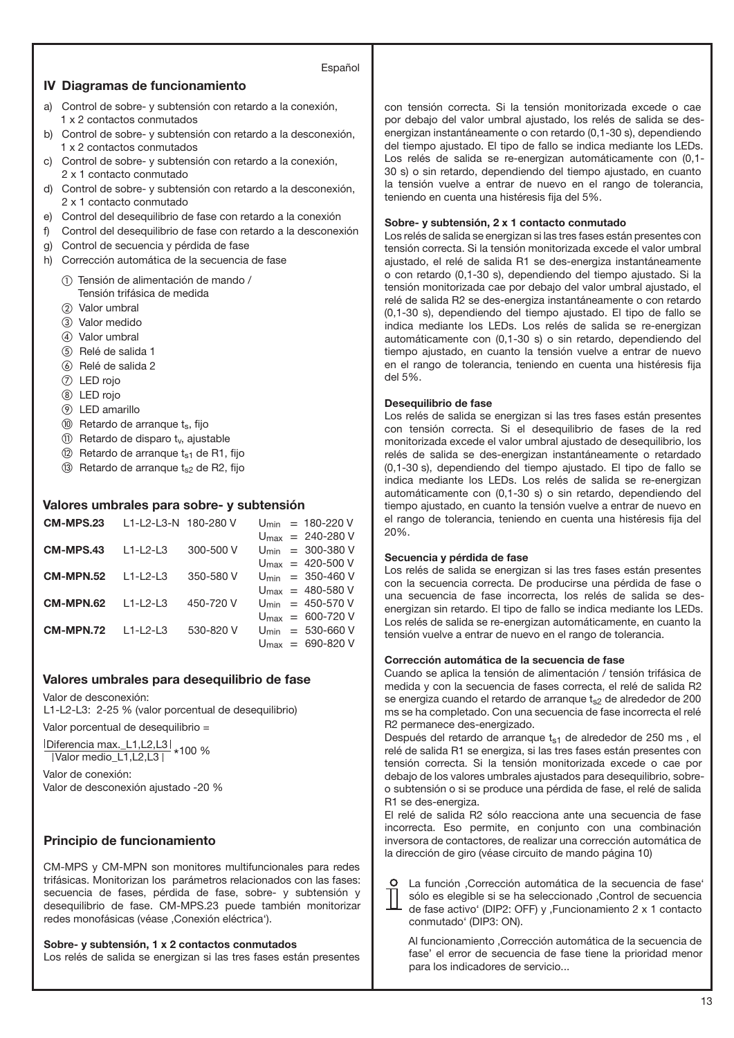## **IV Diagramas de funcionamiento**

#### Español

- a) Control de sobre- y subtensión con retardo a la conexión, 1 x 2 contactos conmutados
- b) Control de sobre- y subtensión con retardo a la desconexión, 1 x 2 contactos conmutados
- c) Control de sobre- y subtensión con retardo a la conexión, 2 x 1 contacto conmutado
- d) Control de sobre- y subtensión con retardo a la desconexión, 2 x 1 contacto conmutado
- e) Control del desequilibrio de fase con retardo a la conexión
- f) Control del desequilibrio de fase con retardo a la desconexión
- g) Control de secuencia y pérdida de fase
- h) Corrección automática de la secuencia de fase
	- Tensión de alimentación de mando / Tensión trifásica de medida
	- (2) Valor umbral
	- Valor medido
	- Valor umbral
	- (5) Relé de salida 1
	- Relé de salida 2
	- LED rojo
	- LED rojo
	- LED amarillo
	- **10** Retardo de arranque t<sub>s</sub>, fijo
	- $(n)$  Retardo de disparo t<sub>v</sub>, ajustable
	- $(2)$  Retardo de arranque  $t_{s1}$  de R1, fijo
	- $(3)$  Retardo de arranque t<sub>s2</sub> de R2, fijo

## **Valores umbrales para sobre- y subtensión**

| <b>CM-MPS.23</b> | L1-L2-L3-N 180-280 V |           |  | $U_{\text{min}} = 180 - 220 V$         |
|------------------|----------------------|-----------|--|----------------------------------------|
|                  |                      |           |  | $U_{\text{max}} = 240 - 280 \text{ V}$ |
| CM-MPS.43        | $L1-L2-L3$           | 300-500 V |  | $U_{\text{min}} = 300 - 380 \text{ V}$ |
|                  |                      |           |  | $U_{\text{max}} = 420 - 500 \text{ V}$ |
| <b>CM-MPN.52</b> | $11 - 2 - 3$         | 350-580 V |  | $U_{\text{min}} = 350 - 460 \text{ V}$ |
|                  |                      |           |  | $U_{\text{max}} = 480 - 580$ V         |
| CM-MPN.62        | $11 - 2 - 3$         | 450-720 V |  | $U_{\text{min}} = 450 - 570$ V         |
|                  |                      |           |  | $U_{\text{max}} = 600 - 720 V$         |
| <b>CM-MPN.72</b> | $L1-L2-L3$           | 530-820 V |  | $U_{\text{min}} = 530 - 660$ V         |
|                  |                      |           |  | $U_{\text{max}} = 690 - 820$ V         |

## **Valores umbrales para desequilibrio de fase**

Valor de desconexión:

L1-L2-L3: 2-25 % (valor porcentual de desequilibrio)

Valor porcentual de desequilibrio =

 $\frac{|D \text{iferencia max.}_L1, L2, L3|}{|V \text{alor medio}_L1, L2, L3|} * 100 %$ 

Valor de conexión: Valor de desconexión ajustado -20 %

# **Principio de funcionamiento**

CM-MPS y CM-MPN son monitores multifuncionales para redes trifásicas. Monitorizan los parámetros relacionados con las fases: secuencia de fases, pérdida de fase, sobre- y subtensión y desequilibrio de fase. CM-MPS.23 puede también monitorizar redes monofásicas (véase , Conexión eléctrica').

**Sobre- y subtensión, 1 x 2 contactos conmutados** Los relés de salida se energizan si las tres fases están presentes con tensión correcta. Si la tensión monitorizada excede o cae por debajo del valor umbral ajustado, los relés de salida se desenergizan instantáneamente o con retardo (0,1-30 s), dependiendo del tiempo ajustado. El tipo de fallo se indica mediante los LEDs. Los relés de salida se re-energizan automáticamente con (0,1- 30 s) o sin retardo, dependiendo del tiempo ajustado, en cuanto la tensión vuelve a entrar de nuevo en el rango de tolerancia, teniendo en cuenta una histéresis fija del 5%.

## **Sobre- y subtensión, 2 x 1 contacto conmutado**

Los relés de salida se energizan si las tres fases están presentes con tensión correcta. Si la tensión monitorizada excede el valor umbral ajustado, el relé de salida R1 se des-energiza instantáneamente o con retardo (0,1-30 s), dependiendo del tiempo ajustado. Si la tensión monitorizada cae por debajo del valor umbral ajustado, el relé de salida R2 se des-energiza instantáneamente o con retardo (0,1-30 s), dependiendo del tiempo ajustado. El tipo de fallo se indica mediante los LEDs. Los relés de salida se re-energizan automáticamente con (0,1-30 s) o sin retardo, dependiendo del tiempo ajustado, en cuanto la tensión vuelve a entrar de nuevo en el rango de tolerancia, teniendo en cuenta una histéresis fija del 5%.

#### **Desequilibrio de fase**

Los relés de salida se energizan si las tres fases están presentes con tensión correcta. Si el desequilibrio de fases de la red monitorizada excede el valor umbral ajustado de desequilibrio, los relés de salida se des-energizan instantáneamente o retardado (0,1-30 s), dependiendo del tiempo ajustado. El tipo de fallo se indica mediante los LEDs. Los relés de salida se re-energizan automáticamente con (0,1-30 s) o sin retardo, dependiendo del tiempo ajustado, en cuanto la tensión vuelve a entrar de nuevo en el rango de tolerancia, teniendo en cuenta una histéresis fija del 20%.

#### **Secuencia y pérdida de fase**

Los relés de salida se energizan si las tres fases están presentes con la secuencia correcta. De producirse una pérdida de fase o una secuencia de fase incorrecta, los relés de salida se desenergizan sin retardo. El tipo de fallo se indica mediante los LEDs. Los relés de salida se re-energizan automáticamente, en cuanto la tensión vuelve a entrar de nuevo en el rango de tolerancia.

#### **Corrección automática de la secuencia de fase**

Cuando se aplica la tensión de alimentación / tensión trifásica de medida y con la secuencia de fases correcta, el relé de salida R2 se energiza cuando el retardo de arranque  $t_{s2}$  de alrededor de 200 ms se ha completado. Con una secuencia de fase incorrecta el relé R2 permanece des-energizado.

Después del retardo de arranque t<sub>s1</sub> de alrededor de 250 ms, el relé de salida R1 se energiza, si las tres fases están presentes con tensión correcta. Si la tensión monitorizada excede o cae por debajo de los valores umbrales ajustados para desequilibrio, sobreo subtensión o si se produce una pérdida de fase, el relé de salida R1 se des-energiza.

El relé de salida R2 sólo reacciona ante una secuencia de fase incorrecta. Eso permite, en conjunto con una combinación inversora de contactores, de realizar una corrección automática de la dirección de giro (véase circuito de mando página 10)

La función ,Corrección automática de la secuencia de fase' sólo es elegible si se ha seleccionado , Control de secuencia de fase activo' (DIP2: OFF) y , Funcionamiento 2 x 1 contacto conmutado' (DIP3: ON).

Al funcionamiento , Corrección automática de la secuencia de fase' el error de secuencia de fase tiene la prioridad menor para los indicadores de servicio...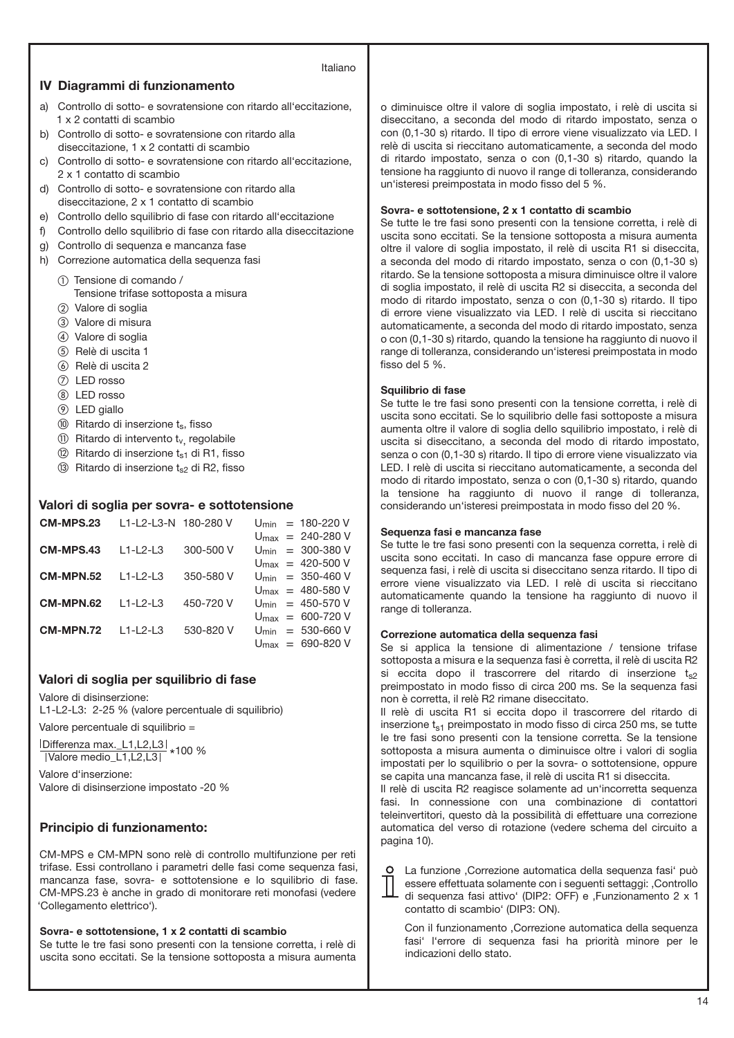## Italiano

### **IV Diagrammi di funzionamento**

- a) Controllo di sotto- e sovratensione con ritardo all'eccitazione, 1 x 2 contatti di scambio
- b) Controllo di sotto- e sovratensione con ritardo alla diseccitazione, 1 x 2 contatti di scambio
- c) Controllo di sotto- e sovratensione con ritardo all'eccitazione, 2 x 1 contatto di scambio
- d) Controllo di sotto- e sovratensione con ritardo alla diseccitazione, 2 x 1 contatto di scambio
- e) Controllo dello squilibrio di fase con ritardo all'eccitazione
- f) Controllo dello squilibrio di fase con ritardo alla diseccitazione
- g) Controllo di sequenza e mancanza fase
- h) Correzione automatica della sequenza fasi
	- Tensione di comando / Tensione trifase sottoposta a misura
	- (2) Valore di soglia
	- Valore di misura
	-
	- Valore di soglia (5) Relè di uscita 1
	- $\omega$  Relè di uscita 2
	-
	- LED rosso
	- LED rosso
	- LED giallo
	- **10** Ritardo di inserzione t<sub>s</sub>, fisso
	- $\circled{1}$  Ritardo di intervento t<sub>v,</sub> regolabile
	- $(2)$  Ritardo di inserzione t<sub>s1</sub> di R1, fisso  $(3)$  Ritardo di inserzione t<sub>s2</sub> di R2, fisso
	-

## **Valori di soglia per sovra- e sottotensione**

| CM-MPS.23 | L1-L2-L3-N 180-280 V |           |  | $U_{\text{min}} = 180 - 220 V$         |
|-----------|----------------------|-----------|--|----------------------------------------|
|           |                      |           |  | $U_{\text{max}} = 240 - 280 \text{ V}$ |
| CM-MPS.43 | $11 - 2 - 3$         | 300-500 V |  | $U_{\text{min}} = 300 - 380 \text{ V}$ |
|           |                      |           |  | $U_{\text{max}} = 420 - 500 \text{ V}$ |
| CM-MPN.52 | $11 - 2 - 3$         | 350-580 V |  | $U_{\text{min}} = 350 - 460 \text{ V}$ |
|           |                      |           |  | $U_{\text{max}} = 480 - 580$ V         |
| CM-MPN.62 | $11 - 2 - 3$         | 450-720 V |  | $U_{\text{min}} = 450 - 570 V$         |
|           |                      |           |  | $U_{\text{max}} = 600 - 720 V$         |
| CM-MPN.72 | $11 - 2 - 3$         | 530-820 V |  | $U_{\text{min}} = 530 - 660 \text{ V}$ |
|           |                      |           |  | $U_{\text{max}} = 690 - 820 V$         |

## **Valori di soglia per squilibrio di fase**

Valore di disinserzione:

L1-L2-L3: 2-25 % (valore percentuale di squilibrio)

Valore percentuale di squilibrio =

Differenza max.\_L1,L2,L3 \* 100 % Valore medio\_L1,L2,L3

Valore d'inserzione: Valore di disinserzione impostato -20 %

## **Principio di funzionamento:**

CM-MPS e CM-MPN sono relè di controllo multifunzione per reti trifase. Essi controllano i parametri delle fasi come sequenza fasi, mancanza fase, sovra- e sottotensione e lo squilibrio di fase. CM-MPS.23 è anche in grado di monitorare reti monofasi (vedere 'Collegamento elettrico').

### **Sovra- e sottotensione, 1 x 2 contatti di scambio**

Se tutte le tre fasi sono presenti con la tensione corretta, i relè di uscita sono eccitati. Se la tensione sottoposta a misura aumenta o diminuisce oltre il valore di soglia impostato, i relè di uscita si diseccitano, a seconda del modo di ritardo impostato, senza o con (0,1-30 s) ritardo. Il tipo di errore viene visualizzato via LED. I relè di uscita si rieccitano automaticamente, a seconda del modo di ritardo impostato, senza o con (0,1-30 s) ritardo, quando la tensione ha raggiunto di nuovo il range di tolleranza, considerando un'isteresi preimpostata in modo fisso del 5 %.

#### **Sovra- e sottotensione, 2 x 1 contatto di scambio**

Se tutte le tre fasi sono presenti con la tensione corretta, i relè di uscita sono eccitati. Se la tensione sottoposta a misura aumenta oltre il valore di soglia impostato, il relè di uscita R1 si diseccita, a seconda del modo di ritardo impostato, senza o con (0,1-30 s) ritardo. Se la tensione sottoposta a misura diminuisce oltre il valore di soglia impostato, il relè di uscita R2 si diseccita, a seconda del modo di ritardo impostato, senza o con (0,1-30 s) ritardo. Il tipo di errore viene visualizzato via LED. I relè di uscita si rieccitano automaticamente, a seconda del modo di ritardo impostato, senza o con (0,1-30 s) ritardo, quando la tensione ha raggiunto di nuovo il range di tolleranza, considerando un'isteresi preimpostata in modo fisso del 5 %.

#### **Squilibrio di fase**

 $\circ$ Τ

Se tutte le tre fasi sono presenti con la tensione corretta, i relè di uscita sono eccitati. Se lo squilibrio delle fasi sottoposte a misura aumenta oltre il valore di soglia dello squilibrio impostato, i relè di uscita si diseccitano, a seconda del modo di ritardo impostato, senza o con (0,1-30 s) ritardo. Il tipo di errore viene visualizzato via LED. I relè di uscita si rieccitano automaticamente, a seconda del modo di ritardo impostato, senza o con (0,1-30 s) ritardo, quando la tensione ha raggiunto di nuovo il range di tolleranza, considerando un'isteresi preimpostata in modo fisso del 20 %.

#### **Sequenza fasi e mancanza fase**

Se tutte le tre fasi sono presenti con la sequenza corretta, i relè di uscita sono eccitati. In caso di mancanza fase oppure errore di sequenza fasi, i relè di uscita si diseccitano senza ritardo. Il tipo di errore viene visualizzato via LED. I relè di uscita si rieccitano automaticamente quando la tensione ha raggiunto di nuovo il range di tolleranza.

#### **Correzione automatica della sequenza fasi**

Se si applica la tensione di alimentazione / tensione trifase sottoposta a misura e la sequenza fasi è corretta, il relè di uscita R2 si eccita dopo il trascorrere del ritardo di inserzione  $t_{s2}$ preimpostato in modo fisso di circa 200 ms. Se la sequenza fasi non è corretta, il relè R2 rimane diseccitato.

Il relè di uscita R1 si eccita dopo il trascorrere del ritardo di inserzione  $t_{s1}$  preimpostato in modo fisso di circa 250 ms, se tutte le tre fasi sono presenti con la tensione corretta. Se la tensione sottoposta a misura aumenta o diminuisce oltre i valori di soglia impostati per lo squilibrio o per la sovra- o sottotensione, oppure se capita una mancanza fase, il relè di uscita R1 si diseccita.

Il relè di uscita R2 reagisce solamente ad un'incorretta sequenza fasi. In connessione con una combinazione di contattori teleinvertitori, questo dà la possibilità di effettuare una correzione automatica del verso di rotazione (vedere schema del circuito a pagina 10).

| La funzione , Correzione automatica della sequenza fasi può     |
|-----------------------------------------------------------------|
| essere effettuata solamente con i sequenti settaggi: ,Controllo |
| - di seguenza fasi attivo' (DIP2: OFF) e ,Funzionamento 2 x 1   |
| contatto di scambio' (DIP3: ON).                                |

Con il funzionamento , Correzione automatica della sequenza fasi' l'errore di sequenza fasi ha priorità minore per le indicazioni dello stato.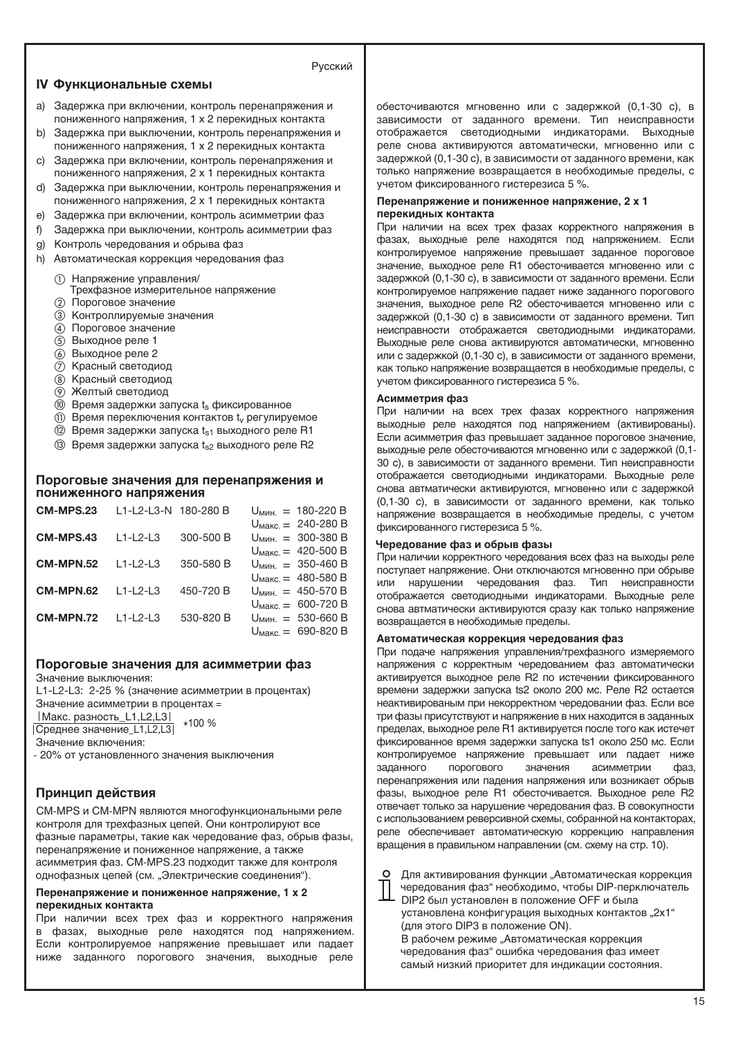## Русский

#### **IV Функциональные схемы**

- a) Задержка при включении, контроль перенапряжения и пониженного напряжения, 1 x 2 перекидных контакта
- b) Задержка при выключении, контроль перенапряжения и пониженного напряжения, 1 x 2 перекидных контакта
- c) Задержка при включении, контроль перенапряжения и пониженного напряжения, 2 x 1 перекидных контакта
- d) Задержка при выключении, контроль перенапряжения и пониженного напряжения, 2 x 1 перекидных контакта
- e) Задержка при включении, контроль асимметрии фаз
- f) Задержка при выключении, контроль асимметрии фаз
- g) Контроль чередования и обрыва фаз
- h) Автоматическая коррекция чередования фаз
	- Напряжение управления/
	- Трехфазное измерительное напряжение Пороговое значение
	- (3) Контроллируемые значения
	- Пороговое значение
	- Выходное реле 1
	- Выходное реле 2
	- (7) Красный светодиод
	- **(8) Красный светодиод**
	- Желтый светодиод
	- $(0)$  Время задержки запуска  $t_s$  фиксированное
	- $(1)$  Время переключения контактов  $t_v$  регулируемое
	- $(2)$  Время задержки запуска  $t_{s1}$  выходного реле R1
	- (3) Время задержки запуска t<sub>s2</sub> выходного реле R2

## **Пороговые значения для перенапряжения и пониженного напряжения**

| <b>CM-MPS.23</b> | L1-L2-L3-N 180-280 B |           | $U_{MWH}$ = 180-220 B           |
|------------------|----------------------|-----------|---------------------------------|
|                  |                      |           | $U_{\text{MAKC}} = 240 - 280 B$ |
| CM-MPS.43        | $L1-L2-L3$           | 300-500 B | $U_{MWH.} = 300-380 B$          |
|                  |                      |           | $U_{\text{MARC}} = 420 - 500 B$ |
| CM-MPN.52        | $11-12-13$           | 350-580 B | $U_{MHH}$ = 350-460 B           |
|                  |                      |           | $U_{\text{MAKC}} = 480 - 580 B$ |
| <b>CM-MPN.62</b> | $11 - 2 - 3$         | 450-720 B | $U_{MHH}$ = 450-570 B           |
|                  |                      |           | $U_{\text{MAKC}} = 600 - 720 B$ |
| <b>CM-MPN.72</b> | $11 - 2 - 3$         | 530-820 B | $U_{MHH}$ = 530-660 B           |
|                  |                      |           | $U_{\text{MARC}} = 690 - 820 B$ |

### **Пороговые значения для асимметрии фаз**

Значение выключения:

L1-L2-L3: 2-25 % (значение асимметрии в процентах)

Значение асимметрии в процентах =

 Макс. разность\_L1,L2,L3 \*100 %

**Среднее значение L1,L2,L3** 

Значение включения:

- 20% от установленного значения выключения

# **Принцип действия**

CM-MPS и CM-MPN являются многофункциональными реле контроля для трехфазных цепей. Они контролируют все фазные параметры, такие как чередование фаз, обрыв фазы, перенапряжение и пониженное напряжение, а также асимметрия фаз. CM-MPS.23 подходит также для контроля однофазных цепей (см. "Электрические соединения").

#### **Перенапряжение и пониженное напряжение, 1 x 2 перекидных контакта**

При наличии всех трех фаз и корректного напряжения в фазах, выходные реле находятся под напряжением. Если контролируемое напряжение превышает или падает ниже заданного порогового значения, выходные реле

обесточиваются мгновенно или с задержкой (0,1-30 с), в зависимости от заданного времени. Тип неисправности отображается светодиодными индикаторами. Выходные реле снова активируются автоматически, мгновенно или с задержкой (0,1-30 с), в зависимости от заданного времени, как только напряжение возвращается в необходимые пределы, с учетом фиксированного гистерезиса 5 %.

#### **Перенапряжение и пониженное напряжение, 2 x 1 перекидных контакта**

При наличии на всех трех фазах корректного напряжения в фазах, выходные реле находятся под напряжением. Если контролируемое напряжение превышает заданное пороговое значение, выходное реле R1 обесточивается мгновенно или с задержкой (0,1-30 с), в зависимости от заданного времени. Если контролируемое напряжение падает ниже заданного порогового значения, выходное реле R2 обесточивается мгновенно или с задержкой (0,1-30 с) в зависимости от заданного времени. Тип неисправности отображается светодиодными индикаторами. Выходные реле снова активируются автоматически, мгновенно или с задержкой (0,1-30 с), в зависимости от заданного времени, как только напряжение возвращается в необходимые пределы, с учетом фиксированного гистерезиса 5 %.

## **Асимметрия фаз**

При наличии на всех трех фазах корректного напряжения выходные реле находятся под напряжением (активированы). Если асимметрия фаз превышает заданное пороговое значение, выходные реле обесточиваются мгновенно или с задержкой (0,1- 30 с), в зависимости от заданного времени. Тип неисправности отображается светодиодными индикаторами. Выходные реле снова автматически активируются, мгновенно или с задержкой (0,1-30 с), в зависимости от заданного времени, как только напряжение возвращается в необходимые пределы, с учетом фиксированного гистерезиса 5 %.

#### **Чередование фаз и обрыв фазы**

При наличии корректного чередования всех фаз на выходы реле поступает напряжение. Они отключаются мгновенно при обрыве или нарушении чередования фаз. Тип неисправности отображается светодиодными индикаторами. Выходные реле снова автматически активируются сразу как только напряжение возвращается в необходимые пределы.

#### **Автоматическая коррекция чередования фаз**

При подаче напряжения управления/трехфазного измеряемого напряжения с корректным чередованием фаз автоматически активируется выходное реле R2 по истечении фиксированного времени задержки запуска ts2 около 200 мс. Реле R2 остается неактивированым при некорректном чередовании фаз. Если все три фазы присутствуют и напряжение в них находится в заданных пределах, выходное реле R1 активируется после того как истечет фиксированное время задержки запуска ts1 около 250 мс. Если контролируемое напряжение превышает или падает ниже заданного порогового значения асимметрии фаз, перенапряжения или падения напряжения или возникает обрыв фазы, выходное реле R1 обесточивается. Выходное реле R2 отвечает только за нарушение чередования фаз. В совокупности с использованием реверсивной схемы, собранной на контакторах, реле обеспечивает автоматическую коррекцию направления вращения в правильном направлении (см. схему на стр. 10).

Для активирования функции "Автоматическая коррекция чередования фаз" необходимо, чтобы DIP-перключатель DIP2 был установлен в положение OFF и была установлена конфигурация выходных контактов "2х1" (для этого DIP3 в положение ON). В рабочем режиме "Автоматическая коррекция чередования фаз" ошибка чередования фаз имеет самый низкий приоритет для индикации состояния.